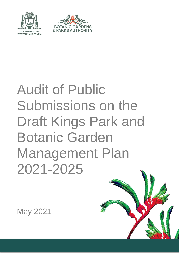



# Audit of Public Submissions on the Draft Kings Park and Botanic Garden Management Plan 2021-2025

May 2021

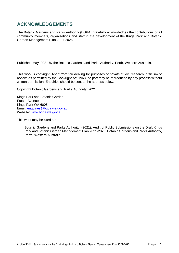# **ACKNOWLEDGEMENTS**

The Botanic Gardens and Parks Authority (BGPA) gratefully acknowledges the contributions of all community members, organisations and staff in the development of the Kings Park and Botanic Garden Management Plan 2021-2026.

Published May 2021 by the Botanic Gardens and Parks Authority, Perth, Western Australia.

This work is copyright. Apart from fair dealing for purposes of private study, research, criticism or review, as permitted by the Copyright Act 1968, no part may be reproduced by any process without written permission. Enquiries should be sent to the address below.

Copyright Botanic Gardens and Parks Authority, 2021

Kings Park and Botanic Garden Fraser Avenue Kings Park WA 6005 Email: [enquiries@bgpa.wa.gov.au](mailto:enquiries@bgpa.wa.gov.au) Website: [www.bgpa.wa.gov.au](http://www.bgpa.wa.gov.au/)

This work may be cited as:

Botanic Gardens and Parks Authority. (2021). Audit of Public Submissions on the Draft Kings Park and Botanic Garden Management Plan 2021-2025. Botanic Gardens and Parks Authority, Perth, Western Australia.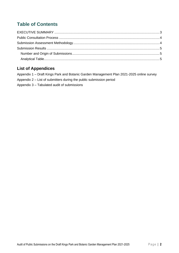# **Table of Contents**

## **List of Appendices**

Appendix 1 – [Draft Kings Park and Botanic Garden Management Plan 2021-2025 online survey](#page-7-0) Appendix 2 – [List of submitters during the public submission period](#page-20-0) Appendix 3 – [Tabulated audit of submissions](#page-22-0)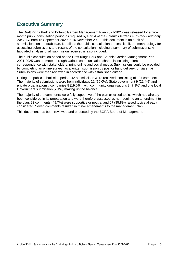# <span id="page-3-0"></span>**Executive Summary**

The Draft Kings Park and Botanic Garden Management Plan 2021-2025 was released for a twomonth public consultation period as required by Part 4 of *the Botanic Gardens and Parks Authority Act 1998* from 15 September 2020 to 16 November 2020. This document is an audit of submissions on the draft plan. It outlines the public consultation process itself, the methodology for assessing submissions and results of the consultation including a summary of submissions. A tabulated analysis of all submission received is also included.

The public consultation period on the Draft Kings Park and Botanic Garden Management Plan 2021-2025 was promoted through various communication channels including direct correspondence with stakeholders, print, online and social media. Submissions could be provided by completing an online survey, as a written submission by post or hand delivery, or via email. Submissions were then reviewed in accordance with established criteria.

During the public submission period, 42 submissions were received, consisting of 187 comments. The majority of submissions were from individuals 21 (50.0%), State government 9 (21.4%) and private organisations / companies 8 (19.0%), with community organisations 3 (7.1%) and one local Government submission (2.4%) making up the balance.

The majority of the comments were fully supportive of the plan or raised topics which had already been considered in its preparation and were therefore assessed as not requiring an amendment to the plan; 93 comments (49.7%) were supportive or neutral and 67 (35.8%) raised topics already considered. Seven comments resulted in minor amendments to the management plan.

This document has been reviewed and endorsed by the BGPA Board of Management.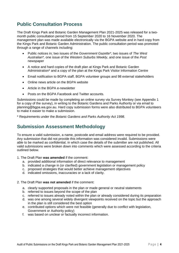# <span id="page-4-0"></span>**Public Consultation Process**

The Draft Kings Park and Botanic Garden Management Plan 2021-2025 was released for a twomonth public consultation period from 15 September 2020 to 16 November 2020. The management plan was made available electronically via the BGPA website and in hard copy from the Kings Park and Botanic Garden Administration. The public consultation period was promoted through a range of channels including:

- Public notices in; two issues of the *Government Gazette\**, two issues of *The West Australian\*,* one issue of the *Western Suburbs Weekly*, and one issue of the *Post* newspaper
- A notice and hard copies of the draft plan at Kings Park and Botanic Garden Administration\* and a copy of the plan at the Kings Park Visitor Information Centre
- Email notification to BGPA staff, BGPA volunteer groups and 98 external stakeholders
- Online news article on the BGPA website
- Article in the BGPA e-newsletter
- Posts on the BGPA Facebook and Twitter accounts.

Submissions could be made by completing an online survey via Survey Monkey (see Appendix 1 for a copy of the survey), in writing to the Botanic Gardens and Parks Authority or via email to [planning@bgpa.wa.gov.au.](mailto:planning@bgpa.wa.gov.au) Hard copy submission forms were also distributed to BGPA volunteers to make it easier to make a submission.

\* Requirements under the *Botanic Gardens and Parks Authority Act 1998*.

## <span id="page-4-1"></span>**Submission Assessment Methodology**

To ensure a valid submission, a name, postcode and email address were required to be provided. Any submission that did not provide this information was considered invalid. Submissions were able to be marked as confidential, in which case the details of the submitter are not published. All valid submissions were broken down into comments which were assessed according to the criteria outlined below.

- 1. The Draft Plan **was amended** if the comment:
	- a. provided additional information of direct relevance to management
	- b. indicated a change in (or clarified) government legislation or management policy
	- c. proposed strategies that would better achieve management objectives
	- d. indicated omissions, inaccuracies or a lack of clarity.
- 2. The Draft Plan **was not amended** if the comment:
	- a. clearly supported proposals in the plan or made general or neutral statements
	- b. referred to issues beyond the scope of the plan
	- c. referred to issues already noted within the plan or already considered during its preparation
	- d. was one among several widely divergent viewpoints received on the topic but the approach in the plan is still considered the best option
	- e. contributed options which were not feasible (generally due to conflict with legislation, Government or Authority policy)
	- f. was based on unclear or factually incorrect information.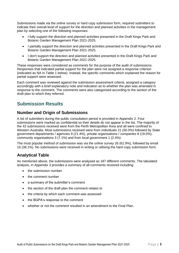Submissions made via the online survey or hard copy submission form, required submitters to indicate their overall level of support for the direction and planned activities in the management plan by selecting one of the following responses:

- I fully support the direction and planned activities presented in the Draft Kings Park and Botanic Garden Management Plan 2021-2025.
- I partially support the direction and planned activities presented in the Draft Kings Park and Botanic Garden Management Plan 2021-2025.
- I don't support the direction and planned activities presented in the Draft Kings Park and Botanic Garden Management Plan 2021-2025.

These responses were considered as comments for the purpose of the audit of submissions. Responses that indicated partial support for the plan were not assigned a response criterion (indicated as NA in Table 1 below). Instead, the specific comments which explained the reason for partial support were assessed.

Each comment was reviewed against the submission assessment criteria, assigned a category accordingly with a brief explanatory note and indication as to whether the plan was amended in response to the comment. The comments were also categorised according to the section of the draft plan to which they referred.

# <span id="page-5-0"></span>**Submission Results**

## <span id="page-5-1"></span>**Number and Origin of Submissions**

A list of submitters during the public consultation period is provided in Appendix 2. Four submissions were marked as confidential so their details do not appear in the list. The majority of the 42 submissions received were from the Perth Metropolitan Area and all were confined to Western Australia. Most submissions received were from individuals 21 (50.0%) followed by State government departments / agencies 9 (21.4%), private organisations / companies 8 (19.0%), community organisations 3 (7.1%) and from local government 1 (2.4%).

The most popular method of submission was via the online survey 26 (61.9%), followed by email 16 (38.1%). No submissions were received in writing or utilising the hard copy submission form.

## <span id="page-5-2"></span>**Analytical Table**

As mentioned above, the submissions were analysed as 187 different comments. The tabulated analysis, in Appendix 3 provides a summary of all comments received including:

- the submission number
- the comment number
- a summary of the submitter's comment
- the section of the draft plan the comment relates to
- the criteria by which each comment was assessed
- the BGPA's response to the comment
- whether or not the comment resulted in an amendment to the Final Plan.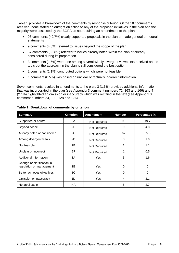Table 1 provides a breakdown of the comments by response criterion. Of the 187 comments received, none stated an outright objection to any of the proposed initiatives in the plan and the majority were assessed by the BGPA as not requiring an amendment to the plan:

- 93 comments (49.7%) clearly supported proposals in the plan or made general or neutral statements
- 9 comments (4.8%) referred to issues beyond the scope of the plan
- 67 comments (35.8%) referred to issues already noted within the plan or already considered during its preparation
- 3 comments (1.6%) were one among several widely divergent viewpoints received on the topic but the approach in the plan is still considered the best option
- 2 comments (1.1%) contributed options which were not feasible
- 1 comment (0.5%) was based on unclear or factually incorrect information.

Seven comments resulted in amendments to the plan; 3 (1.6%) provided additional information that was incorporated in the plan (see Appendix 3 comment numbers 72, 163 and 166) and 4 (2.1%) highlighted an omission or inaccuracy which was rectified in the text (see Appendix 3 comment numbers 54, 108, 128 and 176).

| <b>Summary</b>                                          | <b>Criterion</b> | <b>Amendment</b> | <b>Number</b> | Percentage % |
|---------------------------------------------------------|------------------|------------------|---------------|--------------|
| Supported or neutral                                    | 2A               | Not Required     | 93            | 49.7         |
| Beyond scope                                            | 2B               | Not Required     | 9             | 4.8          |
| Already noted or considered                             | 2C               | Not Required     | 67            | 35.8         |
| Among divergent views                                   | 2D               | Not Required     | 3             | 1.6          |
| Not feasible                                            | 2E               | Not Required     | 2             | 1.1          |
| Unclear or incorrect                                    | 2F               | Not Required     |               | 0.5          |
| Additional information                                  | 1A               | Yes              | 3             | 1.6          |
| Change or clarification in<br>legislation or management | 1B               | <b>Yes</b>       | $\Omega$      | $\Omega$     |
| Better achieves objectives                              | 1C               | Yes              | $\Omega$      | 0            |
| Omission or inaccuracy                                  | 1D               | Yes              | 4             | 2.1          |
| Not applicable                                          | NA               |                  | 5             | 2.7          |

#### **Table 1: Breakdown of comments by criterion**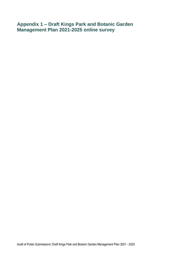<span id="page-7-0"></span>**Appendix 1 – Draft Kings Park and Botanic Garden Management Plan 2021-2025 online survey**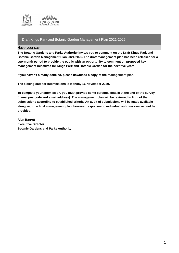



#### Have your say

**The Botanic Gardens and Parks Authority invites you to comment on the Draft Kings Park and Botanic Garden Management Plan 2021-2025. The draft management plan has been released for a two-month period to provide the public with an opportunity to comment on proposed key management initiatives for Kings Park and Botanic Garden for the next five years.** 

**If you haven't already done so, please download a copy of the management plan.** 

**The closing date for submissions is Monday 16 November 2020.**

**To complete your submission, you must provide some personal details at the end of the survey (name, postcode and email address). The management plan will be reviewed in light of the submissions according to established criteria. An audit of submissions will be made available along with the final management plan, however responses to individual submissions will not be provided.** 

**Alan Barrett Executive Director Botanic Gardens and Parks Authority**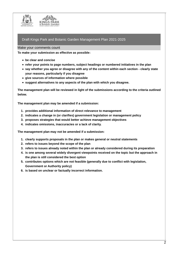

#### Make your comments count

**To make your submission as effective as possible:**

- **be clear and concise**
- **refer your points to page numbers, subject headings or numbered initiatives in the plan**
- **say whether you agree or disagree with any of the content within each section - clearly state your reasons, particularly if you disagree**
- **give sources of information where possible**
- **suggest alternatives to any aspects of the plan with which you disagree.**

**The management plan will be reviewed in light of the submissions according to the criteria outlined below.**

**The management plan may be amended if a submission:**

- **1. provides additional information of direct relevance to management**
- **2. indicates a change in (or clarifies) government legislation or management policy**
- **3. proposes strategies that would better achieve management objectives**
- **4. indicates omissions, inaccuracies or a lack of clarity.**

**The management plan may not be amended if a submission:**

- **1. clearly supports proposals in the plan or makes general or neutral statements**
- **2. refers to issues beyond the scope of the plan**
- **3. refers to issues already noted within the plan or already considered during its preparation**
- **4. is one among several widely divergent viewpoints received on the topic but the approach in the plan is still considered the best option**
- **5. contributes options which are not feasible (generally due to conflict with legislation, Government or Authority policy)**
- **6. is based on unclear or factually incorrect information.**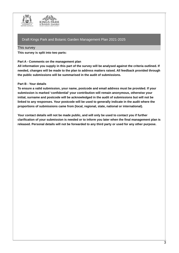



#### This survey

**This survey is split into two parts:**

#### **Part A - Comments on the management plan**

All information you supply in this part of the survey will be analysed against the criteria outlined. If **needed, changes will be made to the plan to address matters raised. All feedback provided through the public submissions will be summarised in the audit of submissions.**

#### **Part B - Your details**

**To ensure a valid submission, your name, postcode and email address must be provided. If your submission is marked 'confidential' your contribution will remain anonymous, otherwise your initial, surname and postcode will be acknowledged in the audit of submissions but will not be linked to any responses. Your postcode will be used to generally indicate in the audit where the proportions of submissions came from (local, regional, state, national or international).**

**Your contact details will not be made public, and will only be used to contact you if further clarification of your submission is needed or to inform you later when the final management plan is released. Personal details will not be forwarded to any third party or used for any other purpose.**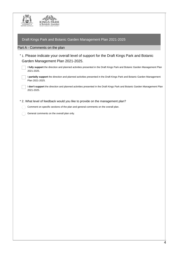| <b>GOVERNMENT OF</b><br><b>WESTERN AUSTRALIA</b>                                                                                            |
|---------------------------------------------------------------------------------------------------------------------------------------------|
| Draft Kings Park and Botanic Garden Management Plan 2021-2025                                                                               |
| Part A - Comments on the plan                                                                                                               |
| *1. Please indicate your overall level of support for the Draft Kings Park and Botanic<br>Garden Management Plan 2021-2025.                 |
| I fully support the direction and planned activities presented in the Draft Kings Park and Botanic Garden Management Plan<br>2021-2025.     |
| I partially support the direction and planned activities presented in the Draft Kings Park and Botanic Garden Management<br>Plan 2021-2025. |
| I don't support the direction and planned activities presented in the Draft Kings Park and Botanic Garden Management Plan<br>2021-2025.     |
| * 2. What level of feedback would you like to provide on the management plan?                                                               |
| Comment on specific sections of the plan and general comments on the overall plan.                                                          |
| General comments on the overall plan only.                                                                                                  |
|                                                                                                                                             |
|                                                                                                                                             |
|                                                                                                                                             |
|                                                                                                                                             |
|                                                                                                                                             |
|                                                                                                                                             |
|                                                                                                                                             |
|                                                                                                                                             |
|                                                                                                                                             |
|                                                                                                                                             |
|                                                                                                                                             |
|                                                                                                                                             |
|                                                                                                                                             |
|                                                                                                                                             |
|                                                                                                                                             |
|                                                                                                                                             |
|                                                                                                                                             |
|                                                                                                                                             |
|                                                                                                                                             |
|                                                                                                                                             |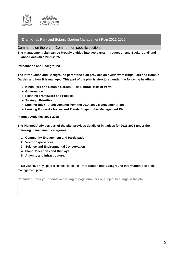

Comments on the plan - Comment on specific sections

**The management plan can be broadly divided into two parts: 'Introduction and Background' and 'Planned Activities 2021-2025'.**

**Introduction and Background**

**The Introduction and Background part of the plan provides an overview of Kings Park and Botanic Garden and how it is managed. This part of the plan is structured under the following headings:**

- **Kings Park and Botanic Garden – The Natural Heart of Perth**
- **Governance**
- **Planning Framework and Policies**
- **Strategic Priorities**
- **Looking Back – Achievements from the 2014-2019 Management Plan**
- **Looking Forward – Issues and Trends Shaping this Management Plan.**

**Planned Activities 2021-2025**

**The Planned Activities part of the plan provides details of initiatives for 2021-2025 under the following management categories.**

- **1. Community Engagement and Participation**
- **2. Visitor Experiences**
- **3. Science and Environmental Conservation**
- **4. Plant Collections and Displays**
- **5. Amenity and Infrastructure.**

3. Do you have any specific comments on the '**Introduction and Background Information**' part of the management plan?

**Reminder: Refer your points according to page numbers or subject headings in the plan**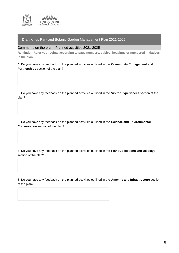

Comments on the plan - Planned activities 2021-2025

**Reminder: Refer your points according to page numbers, subject headings or numbered initiatives in the plan**

4. Do you have any feedback on the planned activities outlined in the **Community Engagement and Partnerships** section of the plan?

5. Do you have any feedback on the planned activities outlined in the **Visitor Experiences** section of the plan?

6. Do you have any feedback on the planned activities outlined in the **Science and Environmental Conservation** section of the plan?

7. Do you have any feedback on the planned activities outlined in the **Plant Collections and Displays** section of the plan?

8. Do you have any feedback on the planned activities outlined in the **Amenity and Infrastructure** section of the plan?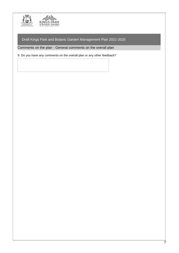

Comments on the plan - General comments on the overall plan

9. Do you have any comments on the overall plan or any other feedback?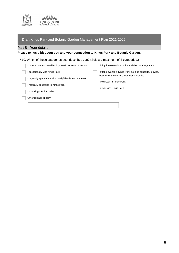

| Draft Kings Park and Botanic Garden Management Plan 2021-2025                                 |                                                                                                   |  |  |  |
|-----------------------------------------------------------------------------------------------|---------------------------------------------------------------------------------------------------|--|--|--|
| Part B - Your details                                                                         |                                                                                                   |  |  |  |
| Please tell us a bit about you and your connection to Kings Park and Botanic Garden.          |                                                                                                   |  |  |  |
| * 10. Which of these categories best describes you? (Select a maximum of 3 categories.)       |                                                                                                   |  |  |  |
| I have a connection with Kings Park because of my job.                                        | bring interstate/international visitors to Kings Park.                                            |  |  |  |
| occasionally visit Kings Park.                                                                | attend events in Kings Park such as concerts, movies,<br>festivals or the ANZAC Day Dawn Service. |  |  |  |
| regularly spend time with family/friends in Kings Park.<br>regularly excercise in Kings Park. | volunteer in Kings Park.                                                                          |  |  |  |
| visit Kings Park to relax.                                                                    | never visit Kings Park.                                                                           |  |  |  |
| Other (please specify)                                                                        |                                                                                                   |  |  |  |
|                                                                                               |                                                                                                   |  |  |  |
|                                                                                               |                                                                                                   |  |  |  |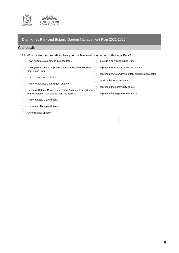



| Draft Kings Park and Botanic Garden Management Plan 2021-2025                     |                                                                    |
|-----------------------------------------------------------------------------------|--------------------------------------------------------------------|
| Your details                                                                      |                                                                    |
| * 11. Which category best describes your professional connection with Kings Park? |                                                                    |
| I own / operate a business in Kings Park.                                         | provide a service to Kings Park.                                   |
| My organisation is a corporate partner or receives services<br>from Kings Park.   | I represent WA's cultural and arts sector.                         |
| am a Kings Park volunteer.                                                        | I represent WA's environmental / conservation sector.              |
| I work for a State Government agency.                                             | I work in the tourism sector.<br>I represent the community sector. |
| I work for Botanic Gardens and Parks Authority / Department                       |                                                                    |
| of Biodiversity, Conservation and Attractions.<br>I work in Local Government.     | represent heritage interests in WA.                                |
| I represent Aboriginal interests.                                                 |                                                                    |
| Other (please specify)                                                            |                                                                    |
|                                                                                   |                                                                    |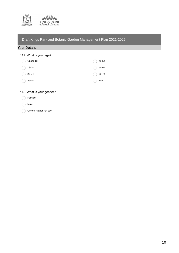

| Draft Kings Park and Botanic Garden Management Plan 2021-2025 |  |  |
|---------------------------------------------------------------|--|--|
|                                                               |  |  |
|                                                               |  |  |

#### Your Details

\* 12. What is your age?

| Under 18              | 45-54 |
|-----------------------|-------|
| 18-24<br>$\left($     | 55-64 |
| 25-34                 | 65-74 |
| 35-44<br>$\mathbb{C}$ | $75+$ |

## \* 13. What is your gender?

- Female
- Male  $\bigcap$
- Other / Rather not say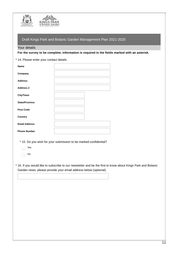

#### Your details

**For the survey to be complete, information is required in the fields marked with an asterisk.**

\* 14. Please enter your contact details.

| <b>Name</b>           |  |
|-----------------------|--|
| Company               |  |
| <b>Address</b>        |  |
| <b>Address 2</b>      |  |
| <b>City/Town</b>      |  |
| <b>State/Province</b> |  |
| <b>Post Code</b>      |  |
| Country               |  |
| <b>Email Address</b>  |  |
| <b>Phone Number</b>   |  |

\* 15. Do you wish for your submission to be marked confidential?

- $\bigcap$ Yes
- No  $\bigcap$

16. If you would like to subscribe to our newsletter and be the first to know about Kings Park and Botanic \* Garden news, please provide your email address below (optional).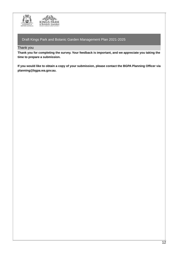

Thank you

**Thank you for completing the survey. Your feedback is important, and we appreciate you taking the time to prepare a submission.**

If you would like to obtain a copy of your submission, please contact the BGPA Planning Officer via **planning@bgpa.wa.gov.au.**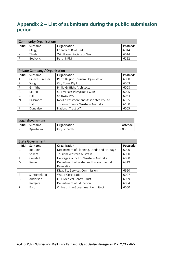# <span id="page-20-0"></span>**Appendix 2 – List of submitters during the public submission period**

| <b>Community Organisations</b> |                  |                          |          |
|--------------------------------|------------------|--------------------------|----------|
| Initial                        | Surname          | Organisation             | Postcode |
|                                | Clegg            | Friends of Bold Park     | 6014     |
|                                | Thiele           | Wildflower Society of WA | 6014     |
|                                | <b>Bodlovich</b> | Perth NRM                | 6152     |

| Private Company / Organisation |                 |                                         |          |  |
|--------------------------------|-----------------|-----------------------------------------|----------|--|
| Initial                        | Surname         | Organisation                            | Postcode |  |
|                                | Cinavas-Prosser | Perth Region Tourism Organisation       | 6000     |  |
| P                              | Wright          | City Tours Pty Ltd                      | 6053     |  |
| P                              | Griffiths       | Philip Griffiths Architects             | 6008     |  |
| R                              | Ketjen          | Stickybeaks Playground Café             | 6005     |  |
|                                | Hall            | Spinway WA                              | 6084     |  |
| N                              | Passmore        | Neville Passmore and Associates Pty Ltd | 6155     |  |
| $\mathsf{F}$                   | Hall            | Tourism Council Western Australia       | 6100     |  |
|                                | Donaldson       | <b>National Trust WA</b>                | 6005     |  |

| Local Government |           |               |          |
|------------------|-----------|---------------|----------|
| Initial          | ' Surname | Organisation  | Postcode |
|                  | Kiaerheim | City of Perth | 6000     |

| <b>State Government</b> |              |                                            |          |  |
|-------------------------|--------------|--------------------------------------------|----------|--|
| Initial                 | Surname      | Organisation                               | Postcode |  |
| B                       | de Garis     | Department of Planning, Lands and Heritage | 6000     |  |
| R                       | Sellers      | Tourism Western Australia                  | 6000     |  |
|                         | Cowdell      | Heritage Council of Western Australia      | 6000     |  |
| M                       | Rowe         | Department of Water and Environmental      | 6919     |  |
|                         |              | Regulation                                 |          |  |
|                         |              | <b>Disability Services Commission</b>      | 6920     |  |
| F                       | Santostefano | <b>Water Corporation</b>                   | 6007     |  |
| B                       | Anderson     | QEII Medical Centre Trust                  | 6009     |  |
|                         | Rodgers      | Department of Education                    | 6004     |  |
| P                       | Ford         | Office of the Government Architect         | 6000     |  |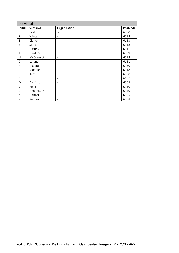|              | <b>Individuals</b> |                   |          |  |  |  |  |  |
|--------------|--------------------|-------------------|----------|--|--|--|--|--|
| Initial      | Surname            | Organisation      | Postcode |  |  |  |  |  |
| $\mathsf C$  | Taylor             |                   | 6050     |  |  |  |  |  |
| ${\sf P}$    | Winter             | $\qquad \qquad -$ | 6018     |  |  |  |  |  |
| S            | Clarke             | $\qquad \qquad -$ | 6153     |  |  |  |  |  |
|              | Soresi             | $\qquad \qquad -$ | 6018     |  |  |  |  |  |
| B            | Hartley            | -                 | 6111     |  |  |  |  |  |
| J            | Gardner            | $\qquad \qquad -$ | 6009     |  |  |  |  |  |
| Н            | McCormick          | -                 | 6018     |  |  |  |  |  |
| $\mathsf{C}$ | Lardner            | -                 | 6151     |  |  |  |  |  |
| S            | Malone             | ۰                 | 6330     |  |  |  |  |  |
| $\sf P$      | Moodie             |                   | 6018     |  |  |  |  |  |
|              | Kerr               |                   | 6008     |  |  |  |  |  |
| $\mathsf C$  | Firth              | -                 | 6157     |  |  |  |  |  |
| D            | Dickinson          | $\qquad \qquad -$ | 6005     |  |  |  |  |  |
| V            | Read               | $\qquad \qquad -$ | 6010     |  |  |  |  |  |
| B            | Henderson          | -                 | 6149     |  |  |  |  |  |
| Α            | Gartrell           |                   | 6055     |  |  |  |  |  |
| К            | Roman              |                   | 6008     |  |  |  |  |  |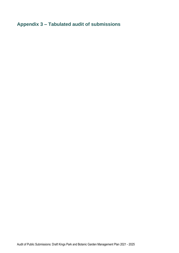<span id="page-22-0"></span>**Appendix 3 – Tabulated audit of submissions**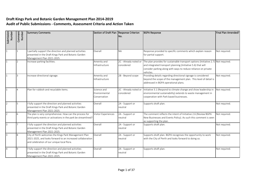## **Draft Kings Park and Botanic Garden Management Plan 2014-2019 Audit of Public Submissions - Comments, Assessment Criteria and Action Taken**

| Submission<br>Number | Comment<br>Number | <b>Summary Comments</b>                                                                                                                                           | Section of Draft Plan Response Criterion     | INo.                                | <b>BGPA Response</b>                                                                                                                                                                                                | Final Plan Amended? |
|----------------------|-------------------|-------------------------------------------------------------------------------------------------------------------------------------------------------------------|----------------------------------------------|-------------------------------------|---------------------------------------------------------------------------------------------------------------------------------------------------------------------------------------------------------------------|---------------------|
| 1                    |                   | partially support the direction and planned activities<br>presented in the Draft Kings Park and Botanic Garden<br>Management Plan 2021-2025.                      | Overall                                      | <b>NA</b>                           | Response provided to specific comments which explain reason<br>for partial support.                                                                                                                                 | Not required.       |
| 1                    |                   | Increase parking facilities.                                                                                                                                      | Amenity and<br>Infrastructure                | 2C - Already noted or<br>considered | The plan provides for sustainable transport options (Initiative 2.7)<br>and integrated transport planning (Initiative 5.6) that will<br>consider parking along with ways to reduce reliance on private<br>vehicles. | Not required.       |
| $\mathbf{1}$         | ς                 | Increase directional signage.                                                                                                                                     | Amenity and<br>Infrastructure                | 2B - Beyond scope                   | Providing details regarding directional signage is considered<br>beyond the scope of the management plan. This level of detail is<br>addressed in BGPA operational plans.                                           | Not required.       |
| 1                    |                   | Plan for rubbish and recyclable items.                                                                                                                            | Science and<br>Environmental<br>Conservation | 2C - Already noted or<br>considered | Initiative 3.1 (Respond to climate change and show leadership in<br>environmental sustainability) extends to waste management in<br>cooperation with Park based businesses.                                         | Not required.       |
| $\overline{2}$       |                   | fully support the direction and planned activities<br>presented in the Draft Kings Park and Botanic Garden<br>Management Plan 2021-2025.                          | Overall                                      | 2A - Support or<br>neutral          | Supports draft plan.                                                                                                                                                                                                | Not required.       |
| 2                    |                   | The plan is very comprehensive. How can the process for<br>third party events or activations in the park be streamlined?                                          | Visitor Experiences                          | 2A - Support or<br>neutral          | The comment reflects the intent of Initiative 2.6 (Review BGPA<br>New Businesses and Events Policy). As such this comment is seen<br>as supporting the plan.                                                        | Not required.       |
| $\overline{3}$       |                   | fully support the direction and planned activities<br>presented in the Draft Kings Park and Botanic Garden<br>Management Plan 2021-2025.                          | Overall                                      | 2A - Support or<br>neutral          | Supports draft plan.                                                                                                                                                                                                | Not required.       |
| $\overline{3}$       |                   | City of Perth welcomes the Kings Park Management Plan<br>2021-2025, and looks forward to an increased collaboration<br>and celebration of our unique local flora. | Overall                                      | 2A - Support or<br>neutral          | Supports draft plan. BGPA recognises the opportunity to work<br>with the City of Perth and looks forward to doing so.                                                                                               | Not required.       |
| $\overline{4}$       | q                 | fully support the direction and planned activities<br>presented in the Draft Kings Park and Botanic Garden<br>Management Plan 2021-2025.                          | Overall                                      | 2A - Support or<br>neutral          | Supports draft plan.                                                                                                                                                                                                | Not required.       |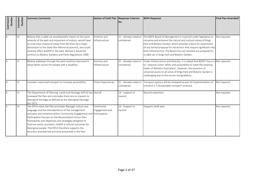| Submission<br>Number | Comment<br>Number<br>10 | <b>Summary Comments</b><br>Believe that a cable car would greatly impact on the quiet                                                                                                                                                                                                                                                                                                                                                                                  | Section of Draft Plan Response Criterion<br>Amenity and | No.<br>2C - Already noted or        | <b>BGPA Response</b><br>The BGPA Board of Management is required under legislation to                                                                                                                                                                                                                                                    | Final Plan Amended?<br>Not required. |
|----------------------|-------------------------|------------------------------------------------------------------------------------------------------------------------------------------------------------------------------------------------------------------------------------------------------------------------------------------------------------------------------------------------------------------------------------------------------------------------------------------------------------------------|---------------------------------------------------------|-------------------------------------|------------------------------------------------------------------------------------------------------------------------------------------------------------------------------------------------------------------------------------------------------------------------------------------------------------------------------------------|--------------------------------------|
|                      |                         | amenity of the park and enjoyment of visitors; would have<br>an enormous impost of views from Mt Eliza; be a major<br>distraction to the State War Memorial precinct, and could<br>severely affect wildlife in the park. Believe it would be<br>contrary to Botanic Gardens and Parks Regulations 1999.                                                                                                                                                                | Infrastructure                                          | considered                          | conserve and enhance the natural and cultural values of Kings<br>Park and Botanic Garden, which provides a basis for assessment<br>of any formal proposal for attractions that require significant new<br>built infrastructure. The Board has not received any proposal for<br>a cable car in Kings Park and Botanic Garden.             |                                      |
|                      | 11                      | Believe walkways through the park could be improved to<br>allow better access for people with a disability.                                                                                                                                                                                                                                                                                                                                                            | Amenity and<br>Infrastructure                           | 2C - Already noted or<br>considered | Under Infrastructure and Amenity, it is stated that BGPA's focus is Not required.<br>to 'improve visitor safety and accessibility to meet the evolving<br>needs of Western Australians'. However, the provision of<br>universal access to all areas of Kings Park and Botanic Garden is<br>challenging due to the terrain and gradients. |                                      |
|                      | 12                      | Consider motorised transport to increase accessibility.                                                                                                                                                                                                                                                                                                                                                                                                                | Visitor Experiences                                     | 2C - Already noted or<br>considered | Transport options will be reviewed as part of implementation of<br>Initiative 2.7 (Sustainable transport services).                                                                                                                                                                                                                      | Not required.                        |
|                      | 13                      | The Department of Planning, Lands and Heritage (DPLH) has Overall<br>reviewed the Plan and concludes there are no impacts to<br>Aboriginal heritage as defined by the Aboriginal Heritage<br>Act 1972.                                                                                                                                                                                                                                                                 |                                                         | 2A - Support or<br>neutral          | Neutral statement.                                                                                                                                                                                                                                                                                                                       | Not required.                        |
|                      | 14                      | The DPLH notes the Plan promotes Noongar culture and<br>language and the intended focus of the management<br>activates and initiatives within Community Engagement and<br>Participation focuses on the Reconciliation Action Plan<br>frameworks and objectives and strategies designed to<br>improve social, economic, health a cultural outcomes for<br>Aboriginal people. The DPLH therefore supports the<br>direction and planned activities presented in the Plan. | Community<br>Engagement and<br>Participation            | 2A - Support or<br>neutral          | Supports draft plan.                                                                                                                                                                                                                                                                                                                     | Not required.                        |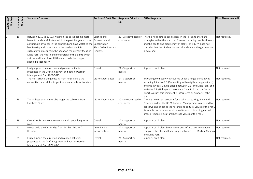| Submission<br>Number | Comment<br>Number | <b>Summary Comments</b>                                                                                                                                                                                                                                                                                                                                                                                                                                                                | Section of Draft Plan Response Criterion                | INo.                                | <b>BGPA Response</b>                                                                                                                                                                                                                                                                                                                                  | Final Plan Amended? |
|----------------------|-------------------|----------------------------------------------------------------------------------------------------------------------------------------------------------------------------------------------------------------------------------------------------------------------------------------------------------------------------------------------------------------------------------------------------------------------------------------------------------------------------------------|---------------------------------------------------------|-------------------------------------|-------------------------------------------------------------------------------------------------------------------------------------------------------------------------------------------------------------------------------------------------------------------------------------------------------------------------------------------------------|---------------------|
| 6                    | 15                | Between 2010 to 2015, I watched the park become more<br>beautiful and carefully tended. In the past five years I noted Environmental<br>a multitude of weeds in the bushland and have watched the Conservation<br>biodiversity and abundance in the gardens diminish. I<br>suggest available funding be spent on the primary focus of<br>Kings Park; the health and biodiversity of the plants which<br>visitors and locals love. All the man made dressing up<br>should be secondary. | Science and<br>Plant Collections and<br><b>Displays</b> | 2C - Already noted or<br>considered | There is no recorded species loss in the Park and there are<br>strategies within the plan that focus on reducing bushland weeds<br>and the health and biodiversity of plants. The BGPA does not<br>consider that the biodiversity and abundance in the gardens has<br>diminished.                                                                     | Not required.       |
|                      | 16                | I fully support the direction and planned activities<br>presented in the Draft Kings Park and Botanic Garden<br>Management Plan 2021-2025.                                                                                                                                                                                                                                                                                                                                             | Overall                                                 | 2A - Support or<br>neutral          | Supports draft plan.                                                                                                                                                                                                                                                                                                                                  | Not required.       |
|                      | 17                | The most critical thing missing from Kings Park is the<br>connectivity and ability to get there (especially for tourists).                                                                                                                                                                                                                                                                                                                                                             | Visitor Experiences                                     | 2A - Support or<br>neutral          | Improving connectivity is covered under a range of initiatives<br>including Initiative 2.1 (Connecting with neighbouring precincts),<br>and Initiatives 5.1 (Kid's Bridge between QEII and Kings Park) and<br>Initiative 5.8 (Linkages to reconnect Kings Park and the Swan<br>River). As such this comment is interpreted as supporting the<br>plan. | Not required.       |
|                      | 18                | The highest priority must be to get the cable car from<br>Elizabeth Quay.                                                                                                                                                                                                                                                                                                                                                                                                              | <b>Visitor Experiences</b>                              | 2C - Already noted or<br>considered | There is no current proposal for a cable car to Kings Park and<br>Botanic Garden. The BGPA Board of Management is required to<br>conserve and enhance the natural and cultural values of the Park.<br>Any cable car proposal would need to avoid disturbing natural<br>areas or impacting cultural heritage values of the Park.                       | Not required.       |
|                      | 19                | Overall looks very comprehensive and a good long term<br>plan.                                                                                                                                                                                                                                                                                                                                                                                                                         | Overall                                                 | 2A - Support or<br>neutral          | Supports draft plan.                                                                                                                                                                                                                                                                                                                                  | Not required.       |
|                      | 20                | Please build the Kids Bridge from Perth's Children's<br>Hospital.                                                                                                                                                                                                                                                                                                                                                                                                                      | Amenity and<br>Infrastructure                           | 2A - Support or<br>neutral          | Supports draft plan. See Amenity and Infrastructure Initiative 1;<br>complete the planned Kids' Bridge between QEII Medical Campus<br>and Kings Park.                                                                                                                                                                                                 | Not required.       |
| 8                    | 21                | I fully support the direction and planned activities<br>presented in the Draft Kings Park and Botanic Garden<br>Management Plan 2021-2025.                                                                                                                                                                                                                                                                                                                                             | Overall                                                 | 2A - Support or<br>neutral          | Supports draft plan.                                                                                                                                                                                                                                                                                                                                  | Not required.       |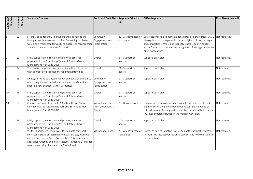| Submission<br>Number | Comment<br>Number | <b>Summary Comments</b>                                                                                                                                                                                                                                                                               | Section of Draft Plan Response Criterion                      | No.                                 | <b>BGPA Response</b>                                                                                                                                                                                                                                                                                         | Final Plan Amended? |
|----------------------|-------------------|-------------------------------------------------------------------------------------------------------------------------------------------------------------------------------------------------------------------------------------------------------------------------------------------------------|---------------------------------------------------------------|-------------------------------------|--------------------------------------------------------------------------------------------------------------------------------------------------------------------------------------------------------------------------------------------------------------------------------------------------------------|---------------------|
| 8                    | 22                | Strongly consider the use of Noongar place names and<br>Noongar words wherever possible. Co-naming of places<br>would be a major step forward and addressed reconciliation Participation<br>as well as an area of interest for tourists.                                                              | Community<br>Engagement and                                   | 2C - Already noted or<br>considered | Use of Noongar place names is considered as part of Initiative 1.2 Not required.<br>(Recognition of Noongar and other Aboriginal culture, heritage<br>and connection). Whilst not explicitly stated, use of Noongar<br>words forms part of enhancing recognition of Noongar and other<br>Aboriginal culture. |                     |
|                      | 23                | I fully support the direction and planned activities<br>presented in the Draft Kings Park and Botanic Garden<br>Management Plan 2021-2025.                                                                                                                                                            | Overall                                                       | 2A - Support or<br>neutral          | Supports draft plan.                                                                                                                                                                                                                                                                                         | Not required.       |
|                      | 24                | The plan is comprehensive addressing all foci of the park<br>with appropriate proposed management strategies                                                                                                                                                                                          | Overall                                                       | 2A - Support or<br>neutral          | Supports draft plan.                                                                                                                                                                                                                                                                                         | Not required.       |
| q                    | 25                | I was glad to see volunteers recognised because there is so<br>much on-going work needed with limited funds best well<br>spent on conservation, visitors & tourists.                                                                                                                                  | Community<br>Engagement and<br>Participation                  | 2A - Support or<br>neutral          | Supports draft plan.                                                                                                                                                                                                                                                                                         | Not required.       |
| 10                   | 26                | I fully support the direction and planned activities<br>presented in the Draft Kings Park and Botanic Garden<br>Management Plan 2021-2025.                                                                                                                                                            | Overall                                                       | 2A - Support or<br>neutral          | Supports draft plan.                                                                                                                                                                                                                                                                                         | Not required.       |
| $\overline{10}$      | 27                | Consider incorporating the RHS Chelsea Flower Show<br>concept into the future Kings Park and Botanic Garden<br>Management Plan 2021-2025.                                                                                                                                                             | Visitor Experiences<br>Plant Collections &<br><b>Displays</b> | 2B - Beyond scope                   | The management plan includes scope to consider events and<br>experiences in the park under Initiative 2.3 (Expand range of<br>cultural events). This suggestion may be considered but is beyond<br>the level of detail included in the management plan.                                                      | Not required.       |
| 11                   | 28                | I fully support the direction and planned activities<br>presented in the Draft Kings Park and Botanic Garden<br>Management Plan 2021-2025.                                                                                                                                                            | Overall                                                       | 2A - Support or<br>neutral          | Supports draft plan.                                                                                                                                                                                                                                                                                         | Not required.       |
| 12                   | 29                | Visitor Experiences - Initiative 7 (sustainable transport<br>services); instead of searching for new services, promote<br>existing such as the Perth Explorer bus. This service also<br>addressed Amenity and Infrastructure - Initiative 8 (linkages<br>to reconnect Kings Park and the Swan River). | Visitor Experiences                                           | 2C - Already noted or<br>considered | Noted. As part of Initiative 2.7 (Sustainable transport services),<br>this will take into account existing services and how their use can<br>be maximised.                                                                                                                                                   | Not required.       |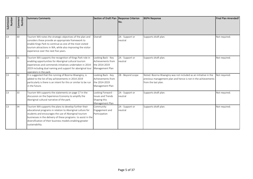| Submission<br>Number | Comment<br><b>Number</b> | <b>Summary Comments</b>                                                                                                                                                                                                                                                                                                        | Section of Draft Plan Response Criterion                                         | INo.                       | <b>BGPA Response</b>                                                                                                                                    | Final Plan Amended? |
|----------------------|--------------------------|--------------------------------------------------------------------------------------------------------------------------------------------------------------------------------------------------------------------------------------------------------------------------------------------------------------------------------|----------------------------------------------------------------------------------|----------------------------|---------------------------------------------------------------------------------------------------------------------------------------------------------|---------------------|
| 13                   | 30                       | Tourism WA notes the strategic objectives of the plan and<br>considers these provide an appropriate framework to<br>enable Kings Park to continue as one of the most visited<br>tourism attractions in WA, while also improving the visitor<br>experience over the next five years.                                            | Overall                                                                          | 2A - Support or<br>neutral | Supports draft plan.                                                                                                                                    | Not required.       |
| 13                   | 31                       | Tourism WA supports the recognition of Kings Park role in<br>enabling opportunities for Aboriginal cultural tourism<br>experiences and commends initiatives undertaken in 2014-<br>2019 including dual naming and support for aboriginal tour<br>operators in the park.                                                        | Looking Back - Key<br>Achievements from<br>the 2014-2019<br>Management Plan      | 2A - Support or<br>neutral | Supports draft plan.                                                                                                                                    | Not required.       |
| 13                   | 32                       | It is suggested that the running of Boorna Waanginy, is<br>added to the list of key achievements in 2014-2019<br>particularly is there is an intent for this or similar to be run<br>in the future.                                                                                                                            | Looking Back - Key<br>Achievements from<br>the 2014-2019<br>Management Plan      | 2B - Beyond scope          | Noted. Boorna Waanginy was not included as an initiative in the<br>previous management plan and hence is not in the achievements<br>from the last plan. | Not required.       |
| 13                   | 33                       | Tourism WA supports the statements on page 17 in the<br>discussion on the Experience Economy to amplify the<br>Aboriginal cultural narrative of the park.                                                                                                                                                                      | Looking Forward -<br><b>Issues and Trends</b><br>Shaping this<br>Management Plan | 2A - Support or<br>neutral | Supports draft plan.                                                                                                                                    | Not required.       |
| 13                   | 34                       | Tourism WA supports the plans to develop further their<br>educational programs in relation to Aboriginal culture for<br>students and encourages the use of Aboriginal tourism<br>businesses in the delivery of these programs to assist in the<br>diversification of their business models enabling greater<br>sustainability. | Community<br>Engagement and<br>Participation                                     | 2A - Support or<br>neutral | Supports draft plan.                                                                                                                                    | Not required.       |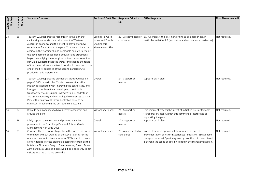| Submission<br>Number | Comment<br>Number | <b>Summary Comments</b>                                                                                                                                                                                                                                                                                                                                                                                                                                                                                                                                                                                                                              | Section of Draft Plan Response Criterion                                  | No.                                 | <b>BGPA Response</b>                                                                                                                                                                                                                                              | Final Plan Amended? |
|----------------------|-------------------|------------------------------------------------------------------------------------------------------------------------------------------------------------------------------------------------------------------------------------------------------------------------------------------------------------------------------------------------------------------------------------------------------------------------------------------------------------------------------------------------------------------------------------------------------------------------------------------------------------------------------------------------------|---------------------------------------------------------------------------|-------------------------------------|-------------------------------------------------------------------------------------------------------------------------------------------------------------------------------------------------------------------------------------------------------------------|---------------------|
| $\overline{13}$      | 35                | Tourism WA supports the recognition in the plan that<br>capitalising on tourism is a priority for the Western<br>Australian economy and the intent to provide for new<br>experiences for visitors to the park. To ensure this can be<br>achieved, the wording should be flexible enough to enable<br>the development of additional activities and attractions<br>beyond amplifying the Aboriginal cultural narrative of the<br>park. It is suggested that the words 'and expand the range<br>of tourism activities and attractions' should be added to the<br>end of the first sentence of the second paragraph, to<br>provide for this opportunity. | Looking Forward -<br>Issues and Trends<br>Shaping this<br>Management Plan | considered                          | 2C - Already noted or BGPA considers the existing wording to be appropriate. In<br>particular Initiative 2.3 (Innovative and world-class experiences).                                                                                                            | Not required.       |
| 13                   | 36                | Tourism WA supports the planned activities outlined on<br>pages 20-29. In particular, Tourism WA considers that<br>initiatives associated with improving the connectivity and<br>linkages to the Swan River; developing sustainable<br>transport services including upgrades to bus, pedestrian<br>and cycle networks; and enhancing the entrances to Kings<br>Park with displays of Western Australian flora, to be<br>significant in achieving the best tourism outcome.                                                                                                                                                                           | Overall                                                                   | 2A - Support or<br>neutral          | Supports draft plan.                                                                                                                                                                                                                                              | Not required.       |
| 14                   | 37                | It would be a good idea to have better transport in and<br>around the park.                                                                                                                                                                                                                                                                                                                                                                                                                                                                                                                                                                          | Visitor Experiences                                                       | 2A - Support or<br>neutral          | This comment reflects the intent of Initiative 2.7 (Sustainable<br>transport services). As such this comment is interpreted as<br>supporting the plan.                                                                                                            | Not required.       |
| 14                   | 38                | I fully support the direction and planned activities<br>presented in the Draft Kings Park and Botanic Garden<br>Management Plan 2021-2025.                                                                                                                                                                                                                                                                                                                                                                                                                                                                                                           | Overall                                                                   | 2A - Support or<br>neutral          | Supports draft plan.                                                                                                                                                                                                                                              | Not required.       |
| 14                   | 39                | Currently there is no way to get from the top to the bottom<br>of the park without walking all the way or paying for the<br>open top bus, which is expensive. A CAT bus which travels<br>along Adelaide Terrace picking up passengers from all the<br>hotels, via Elizabeth Quay to Fraser Avenue, Forrest Drive,<br>Zamia and May Drive and back would be a good way to get<br>visitors into the park and around it.                                                                                                                                                                                                                                | Visitor Experiences                                                       | 2C - Already noted or<br>considered | Noted. Transport options will be reviewed as part of<br>implementation of Visitor Experiences - Initiative 7 (Sustainable<br>transport services). Specifying exactly how this is to be achieved<br>is beyond the scope of detail included in the management plan. | Not required.       |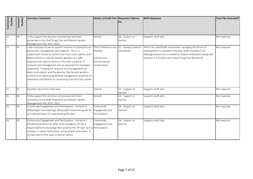| Submission<br>Number | Comment<br>Number | <b>Summary Comments</b>                                                                                                                                                                                                                                                                                                                                                                                                                                                                                                                                                                               | Section of Draft Plan Response Criterion                                          | No.                                 | <b>BGPA Response</b>                                                                                                                                                                                                                                     | Final Plan Amended? |
|----------------------|-------------------|-------------------------------------------------------------------------------------------------------------------------------------------------------------------------------------------------------------------------------------------------------------------------------------------------------------------------------------------------------------------------------------------------------------------------------------------------------------------------------------------------------------------------------------------------------------------------------------------------------|-----------------------------------------------------------------------------------|-------------------------------------|----------------------------------------------------------------------------------------------------------------------------------------------------------------------------------------------------------------------------------------------------------|---------------------|
| 15                   | 40                | I fully support the direction and planned activities<br>presented in the Draft Kings Park and Botanic Garden<br>Management Plan 2021-2025.                                                                                                                                                                                                                                                                                                                                                                                                                                                            | Overall                                                                           | 2A - Support or<br>neutral          | Supports draft plan.                                                                                                                                                                                                                                     | Not required.       |
| 15                   | 41                | was surprised to see no specific mention of phytophthora<br>protection, management and research. This is a<br>catastrophic threat to some of our most iconic plants, and I<br>believe there is a role for botanic gardens as a safe<br>repository for species extinct in the wild, a partner in<br>research and management and an advocate for increased<br>awareness. Funding for research and management has<br>been inconsistent, and the gravitas that botanic gardens<br>could lend to addressing dieback management would be an<br>important contribution to conserving rare and iconic plants. | Plant Collections and<br>Displays<br>Science and<br>Environmental<br>Conservation | 2C - Already noted or<br>considered | Whilst not specifically mentioned, managing the threat of<br>phytophthora is covered in the plan under Initiative 4.10<br>(Manage biosecurity surveillance of plant collections) along with<br>Initiative 3.2 (Protect and restore Kings Park Bushland). | Not required.       |
| 15                   | 42                | Excellent document otherwise.                                                                                                                                                                                                                                                                                                                                                                                                                                                                                                                                                                         | Overall                                                                           | 2A - Support or<br>neutral          | Supports draft plan.                                                                                                                                                                                                                                     | Not required.       |
| 16                   | 43                | I fully support the direction and planned activities<br>presented in the Draft Kings Park and Botanic Garden<br>Management Plan 2021-2025.                                                                                                                                                                                                                                                                                                                                                                                                                                                            | Overall                                                                           | 2A - Support or<br>neutral          | Supports draft plan.                                                                                                                                                                                                                                     | Not required.       |
| 16                   | 44                | Community Engagement and Participation - Initiative 5<br>(Meaningful volunteering); Meaningful volunteering will be<br>an important part of implementing the plan.                                                                                                                                                                                                                                                                                                                                                                                                                                    | Community<br>Engagement and<br>Participation                                      | 2A - Support or<br>neutral          | Supports draft plan.                                                                                                                                                                                                                                     | Not required.       |
| 16                   | 45                | Community Engagement and Participation - Initiative 9<br>(Professional advice to other land managers); KP has a<br>responsibility to encourage best practice the 'KP way' as it is Participation<br>a leader in native horticulture and bushland restoration. It<br>is important to find ways to deliver advice.                                                                                                                                                                                                                                                                                      | Community<br>Engagement and                                                       | 2A - Support or<br>neutral          | Supports draft plan.                                                                                                                                                                                                                                     | Not required.       |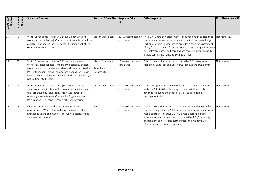| Submission<br>Number | Comment<br>Number | <b>Summary Comments</b>                                                                                                                                                                                                                                                                                                                            | Section of Draft Plan   Response Criterion                  | INo.                                | <b>BGPA Response</b>                                                                                                                                                                                                                                                                                                                                                                          | Final Plan Amended? |
|----------------------|-------------------|----------------------------------------------------------------------------------------------------------------------------------------------------------------------------------------------------------------------------------------------------------------------------------------------------------------------------------------------------|-------------------------------------------------------------|-------------------------------------|-----------------------------------------------------------------------------------------------------------------------------------------------------------------------------------------------------------------------------------------------------------------------------------------------------------------------------------------------------------------------------------------------|---------------------|
| 16                   | 46                | Visitor Experiences - Initiative 3 (Novel, innovative and<br>world-class experiences); Concern that the cable car will be<br>a suggestion for a visitor experience. It is important other<br>experiences are explored.                                                                                                                             | <b>Visitor Experiences</b>                                  | 2C - Already noted or<br>considered | The BGPA Board of Management is required under legislation to<br>conserve and enhance the natural and cultural values of Kings<br>Park and Botanic Garden, which provides a basis for assessment<br>of any formal proposal for attractions that require significant new<br>built infrastructure. The Board has not received any proposal for<br>a cable car in Kings Park and Botanic Garden. | Not required.       |
| 16                   | 47                | Visitor Experiences - Initiative 3 (Novel, innovative and<br>world-class experiences); Is there any possibility of access<br>along the scarp somewhere to allow visitors access to the<br>Park with lookouts along the way; use parking facilities in<br>Perth city but have a means whereby visitors could enjoy a<br>nature trail into the Park. | <b>Visitor Experiences</b><br>Amenity and<br>Infrastructure | 2C - Already noted or<br>considered | This will be considered as part of Initiative 5.8 (Linkages to<br>reconnect Kings Park and Botanic Garden and the Swan River).                                                                                                                                                                                                                                                                | Not required.       |
| 16                   | 48                | Visitor Experiences - Initiative 7 (Sustainable transport<br>services); An electric bus which does a set circuit around<br>the Park driven by volunteers. This would increase<br>meaningful volunteering (Community Engagement and<br>Participation - Initiative 5 (Meaningful volunteering).                                                      | Visitor Experiences                                         | 2C - Already noted or<br>considered | Transport options will be reviewed as part of implementation of<br>Initiative 2.7 (Sustainable transport services). How this is<br>achieved is beyond the scope of detail included in the<br>management plan.                                                                                                                                                                                 | Not required.       |
| 16                   | 49                | KP already does outstanding work in science and<br>environment. What is the best way of circulating that<br>knowledge to the community? Through Podcasts, online<br>seminars, workshops?                                                                                                                                                           | <b>NA</b>                                                   | 2C - Already noted or<br>considered | This will be considered as part of a number of initiatives in the<br>plan including Initiative 2.8 (Interactive web-presence and social<br>media strategy), Initiative 2.9 (Multimedia technologies to<br>enhance experiences and learning), Initiative 1.6 (Community<br>engagement and strategic partnerships) and Initiative 1.7<br>(Education and outreach programs).                     | Not required.       |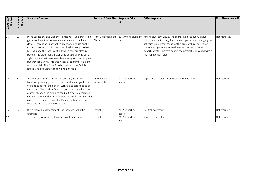| Submission<br>Number | Comment<br>Number | <b>Summary Comments</b>                                                                                                                                                                                                                                                                                                                                                                                                                                                                                                                                                                                              | Section of Draft Plan Response Criterion | INo.                          | <b>BGPA Response</b>                                                                                                                                                                                                                                                                                                                               | Final Plan Amended? |
|----------------------|-------------------|----------------------------------------------------------------------------------------------------------------------------------------------------------------------------------------------------------------------------------------------------------------------------------------------------------------------------------------------------------------------------------------------------------------------------------------------------------------------------------------------------------------------------------------------------------------------------------------------------------------------|------------------------------------------|-------------------------------|----------------------------------------------------------------------------------------------------------------------------------------------------------------------------------------------------------------------------------------------------------------------------------------------------------------------------------------------------|---------------------|
| 16                   | 50                | Plant Collections and Displays - Initiative 7 (Demonstration<br>gardens); I feel the Saw Avenue entrance lets the Park<br>down. There is an unattractive abandoned house on the<br>corner, grass and horrid palm trees further along the road.<br>Driving along the road is difficult when cars are already<br>parked. The playground is well used but stuck away out of<br>sight. I notice that there are a few areas given over to plants<br>but they look awful. This area needs a lot of improvement<br>and potential. The Poole Road entrance to the Park is<br>natural, leading visitors to the bushland area. | Plant Collections and<br>Displays        | 2D - Among divergent<br>views | Among divergent views. The palms lining the avenue have<br>historic and cultural significance and open space for large group<br>activities is a primary focus for this area, with resources for<br>landscaped gardens allocated to other precincts. Some<br>opportunity for improvement in the precinct is provided within<br>the management plan. | Not required.       |
| 16                   | 51                | Amenity and Infrastructure - Initiative 6 (Integrated<br>transport planning); This is so important and upgrades need Infrastructure<br>to be done sooner than later. Cyclists and cars need to be<br>separated. The road surface isn't good and the edges are<br>crumbling. Keep the two lane road but create a dedicated<br>cycle track to one side. You cannot stop cyclists from racing<br>as fast as they can through the Park so make it safer for<br>them. Pedestrians on the other side.                                                                                                                      | Amenity and                              | 2A - Support or<br>neutral    | Supports draft plan. Additional comments noted.                                                                                                                                                                                                                                                                                                    | Not required.       |
| 16                   | 52                | It is a thorough Management Plan, how well will it be<br>executed!                                                                                                                                                                                                                                                                                                                                                                                                                                                                                                                                                   | Overall                                  | 2A - Support or<br>neutral    | Neutral statement.                                                                                                                                                                                                                                                                                                                                 | Not required.       |
| 17                   | 53                | The draft management plan is an excellent document                                                                                                                                                                                                                                                                                                                                                                                                                                                                                                                                                                   | Overall                                  | 2A - Support or<br>neutral    | Supports draft plan.                                                                                                                                                                                                                                                                                                                               | Not required.       |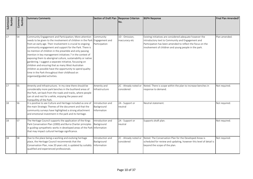| Submission<br>Number | Comment<br>Number | <b>Summary Comments</b>                                                                                                                                                                                                                                                                                                                                                                                                                                                                                                                                                                                                                                                                                                   | Section of Draft Plan   Response Criterion    | No.                                 | <b>BGPA Response</b>                                                                                                                                                                                                                 | Final Plan Amended? |
|----------------------|-------------------|---------------------------------------------------------------------------------------------------------------------------------------------------------------------------------------------------------------------------------------------------------------------------------------------------------------------------------------------------------------------------------------------------------------------------------------------------------------------------------------------------------------------------------------------------------------------------------------------------------------------------------------------------------------------------------------------------------------------------|-----------------------------------------------|-------------------------------------|--------------------------------------------------------------------------------------------------------------------------------------------------------------------------------------------------------------------------------------|---------------------|
| 17                   | 54                | Community Engagement and Participation; More attention<br>needs to be given to the involvement of children in the Park Engagement and<br>from an early age. Their involvement is crucial to ongoing<br>community engagement and support for the Park. There is<br>no mention of children in the preamble and only passing<br>mention in key management initiatives 7 in the context of<br>exposing them to aboriginal culture, sustainability or native<br>gardening. I suggest a separate initiative, focussing on<br>children and ensuring that as many West Australian<br>children as possible have the opportunity to spend quality<br>time in the Park throughout their childhood on<br>organised/guided activities. | Community<br>Participation                    | 1D - Omission,<br>inaccuracy etc    | Existing initiatives are considered adequate however the<br>introductory text to Community and Engagement and<br>Participation has been amended to reflect the focus on the<br>involvement of children and young people in the park. | Plan amended.       |
| 17                   | 55                | Amenity and Infrastructure; In my view there should be<br>considerably more park benches in the bushland areas of<br>the Park, set back from the roads and tracks, where people<br>can sit and rest for a while, enjoying the peace and<br>tranquillity of the Park.                                                                                                                                                                                                                                                                                                                                                                                                                                                      | Amenity and<br>Infrastructure                 | 2C - Already noted or<br>considered | Noted. There is scope within the plan to increase benches in<br>response to demand.                                                                                                                                                  | Not required.       |
| 18                   | 56                | It is positive to see Culture and Heritage included as one of<br>the main Strategic Themes of the document and that the<br>community surveys have highlighted a strong attachment<br>and emotional investment in the park and its heritage.                                                                                                                                                                                                                                                                                                                                                                                                                                                                               | Introduction and<br>Background<br>Information | 2A - Support or<br>neutral          | Neutral statement.                                                                                                                                                                                                                   | Not required.       |
| 18                   | 57                | The Heritage Council supports the application of the Kings<br>Park Conservation Plan (2000) and Burra Charter principles<br>in guiding sympathetic works in developed areas of the Park Information<br>that may impact cultural heritage significance.                                                                                                                                                                                                                                                                                                                                                                                                                                                                    | Introduction and<br>Background                | 2A - Support or<br>neutral          | Supports draft plan.                                                                                                                                                                                                                 | Not required.       |
| 18                   | 58                | Due to the place being a working and evolving heritage<br>place, the Heritage Council recommends that the<br>Conservation Plan, now 20 years old, is updated by suitably<br>qualified and experienced professionals.                                                                                                                                                                                                                                                                                                                                                                                                                                                                                                      | Introduction and<br>Background<br>Information | 2C - Already noted or<br>considered | Noted. The Conservation Plan for the Developed Areas is<br>scheduled for review and updating, however this level of detail is<br>beyond the scope of the plan.                                                                       | Not required.       |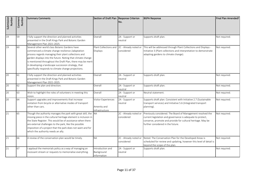| Submission<br>Number | Comment<br>Number | <b>Summary Comments</b>                                                                                                                                                                                                                                                                                                                                                                                 | Section of Draft Plan Response Criterion             | INo.                                | <b>BGPA Response</b>                                                                                                                                                                                                          | Final Plan Amended? |
|----------------------|-------------------|---------------------------------------------------------------------------------------------------------------------------------------------------------------------------------------------------------------------------------------------------------------------------------------------------------------------------------------------------------------------------------------------------------|------------------------------------------------------|-------------------------------------|-------------------------------------------------------------------------------------------------------------------------------------------------------------------------------------------------------------------------------|---------------------|
| 19                   | 59                | I fully support the direction and planned activities<br>presented in the Draft Kings Park and Botanic Garden<br>Management Plan 2021-2025.                                                                                                                                                                                                                                                              | Overall                                              | 2A - Support or<br>neutral          | Supports draft plan.                                                                                                                                                                                                          | Not required.       |
| 19                   | 60                | Several other world class Botanic Gardens have<br>commenced a climate change resilience /adaptation<br>process regards managing their plant collections and<br>garden displays into the future. Noting that climate change<br>is mentioned throughout the Draft Plan, there may be merit<br>in developing a landscape succession strategy, that<br>specifically responds to climate change projections. | Plant Collections and<br>Displays                    | 2C - Already noted or<br>considered | This will be addressed through Plant Collections and Displays -<br>Initiative 3 (Plant collections and interpretation to demonstrate<br>adapting gardens to climate change).                                                  | Not required.       |
| 20                   | 61                | I fully support the direction and planned activities<br>presented in the Draft Kings Park and Botanic Garden<br>Management Plan 2021-2025.                                                                                                                                                                                                                                                              | Overall                                              | 2A - Support or<br>neutral          | Supports draft plan.                                                                                                                                                                                                          | Not required.       |
| 20                   | 62                | Support the plan and direction.                                                                                                                                                                                                                                                                                                                                                                         | Overall                                              | 2A - Support or<br>neutral          | Supports draft plan.                                                                                                                                                                                                          | Not required.       |
| 20                   | 63                | Wish to highlight the roles of volunteers in meeting this<br>vision.                                                                                                                                                                                                                                                                                                                                    | Overall                                              | 2A - Support or<br>neutral          | Neutral statement.                                                                                                                                                                                                            | Not required.       |
| 20                   | 64                | Support upgrades and improvements that increase<br>visitation from bicycle or alternative modes of transport<br>other than cars.                                                                                                                                                                                                                                                                        | Visitor Experiences<br>Amenity and<br>Infrastructure | 2A - Support or<br>neutral          | Supports draft plan. Consistent with Initiative 2.7 (Sustainable<br>transport services) and Initiative 5.6 (Integrated transport<br>planning).                                                                                | Not required.       |
| 21                   | 65                | Though the authority manages the park with great skill, the NA<br>missing piece in the cultural heritage element is inclusion in<br>the State Register. This would be of assistance when there<br>are external challenges to the park, like the possible<br>imposition of a project that the park does not want and for<br>which the authority needs an ally.                                           |                                                      | 2C - Already noted or<br>considered | Previously considered. The Board of Management resolved the<br>current legislation and governance is adequate to protect,<br>conserve, promote and provide for cultural heritage. May be<br>further considered in the future. | Not required.       |
| 21                   | 66                | A review of the conservation plan would be timely.                                                                                                                                                                                                                                                                                                                                                      | <b>NA</b>                                            | 2C - Already noted or<br>considered | Noted. The Conservation Plan for the Developed Areas is<br>scheduled for review and updating, however this level of detail is<br>beyond the scope of the plan.                                                                | Not required.       |
| 21                   | 67                | applaud the memorials policy as a way of managing an<br>incessant stream or requests to memorialise everything.                                                                                                                                                                                                                                                                                         | Introduction and<br>Background<br>Information        | 2A - Support or<br>neutral          | Supports draft plan.                                                                                                                                                                                                          | Not required.       |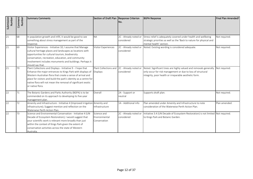| Submission<br>Number | Comment<br>Number | <b>Summary Comments</b>                                                                                                                                                                                                                                                                                                                          | Section of Draft Plan   Response Criterion   | No.                                 | <b>BGPA Response</b>                                                                                                                                                                      | Final Plan Amended? |
|----------------------|-------------------|--------------------------------------------------------------------------------------------------------------------------------------------------------------------------------------------------------------------------------------------------------------------------------------------------------------------------------------------------|----------------------------------------------|-------------------------------------|-------------------------------------------------------------------------------------------------------------------------------------------------------------------------------------------|---------------------|
| 21                   | 68                | In population growth and infill, it would be good to see<br>something about stress management as part of the<br>response.                                                                                                                                                                                                                        | <b>NA</b>                                    | 2C - Already noted or<br>considered | Stress relief is adequately covered under health and wellbeing<br>strategic priorities as well as the 'Back to nature for physical and<br>mental health' section.                         | Not required.       |
| 21                   | 69                | Visitor Experiences - Initiative 10; I assume that Manage<br>cultural heritage places and landscapes as locations with<br>opportunities for cultural tourism, biodiversity<br>conservation, recreation, education, and community<br>involvement includes monuments and buildings. Perhaps it<br>should say that.                                 | Visitor Experiences                          | 2C - Already noted or<br>considered | Noted. Existing wording is considered adequate.                                                                                                                                           | Not required.       |
| 21                   | 70                | Plant Collections and Displays - Initiative 9 - I hope that<br>Enhance the major entrances to Kings Park with displays of<br>Western Australian flora that create a sense of arrival and<br>place for visitors and build the park's identity as a centre for<br>native flora will not mean the removal of significant exotic<br>or native flora. | Plant Collections and<br><b>Displays</b>     | 2C - Already noted or<br>considered | Noted. Significant trees are highly valued and removals generally<br>only occur for risk management or due to loss of structural<br>integrity, poor health or irreparable aesthetic form. | Not required.       |
| 22                   | 71                | The Botanic Gardens and Parks Authority (BGPA) is to be<br>commended on its approach to developing its five-year<br>management plan.                                                                                                                                                                                                             | Overall                                      | 2A - Support or<br>neutral          | Supports draft plan.                                                                                                                                                                      | Not required.       |
| 22                   | 72                | Amenity and Infrastructure - Initiative 4 (Improved irrigatior<br>infrastructure); Suggest mention and reflection on the<br>Waterwise Perth Action Plan.                                                                                                                                                                                         | Amenity and<br>Infrastructure                | 1A - Additional info                | Plan amended under Amenity and Infrastructure to note<br>consideration of the Waterwise Perth Action Plan.                                                                                | Plan amended.       |
| 22                   | 73                | Science and Environmental Conservation - Initiative 4 (UN<br>Decade of Ecosystem Restoration); I would suggest that<br>your scientific work is relevant more broadly than just<br>within the context of Kings Park given the extent of<br>conservation activities across the state of Western<br>Australia.                                      | Science and<br>Environmental<br>Conservation | 2C - Already noted or<br>considered | Initiative 3.4 (UN Decade of Ecosystem Restoration) is not limited Not required.<br>to Kings Park and Botanic Garden.                                                                     |                     |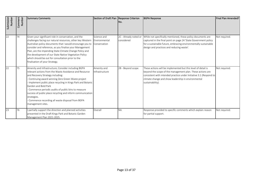| Submission<br>Number | Comment<br><b>Number</b> | <b>Summary Comments</b>                                                                                                                                                                                                                                                                                                                                                                                                                                                                                 | Section of Draft Plan Response Criterion     | No.                                 | <b>BGPA Response</b>                                                                                                                                                                                                                                                         | Final Plan Amended? |
|----------------------|--------------------------|---------------------------------------------------------------------------------------------------------------------------------------------------------------------------------------------------------------------------------------------------------------------------------------------------------------------------------------------------------------------------------------------------------------------------------------------------------------------------------------------------------|----------------------------------------------|-------------------------------------|------------------------------------------------------------------------------------------------------------------------------------------------------------------------------------------------------------------------------------------------------------------------------|---------------------|
| 22                   | 74                       | Given your significant role in conservation, and the<br>challenges facing our natural resources, other key Western<br>Australian policy documents that I would encourage you to<br>consider and reference, as you finalise your Management<br>Plan, are the impending State Climate Change Policy and<br>the development of our State Native Vegetation Policy<br>which should be out for consultation prior to the<br>finalisation of your Strategy.                                                   | Science and<br>Environmental<br>Conservation | 2C - Already noted or<br>considered | While not specifically mentioned, these policy documents are<br>captured in the final point on page 24 'State Government policy<br>for a sustainable future, embracing environmentally sustainable<br>design and practices and reducing waste'.                              | Not required.       |
| 22                   | 75                       | Amenity and Infrastructure; Consider including BGPA<br>relevant actions from the Waste Avoidance and Resource<br>and Recovery Strategy including:<br>Continuing award-winning Zero Green Waste project<br>Implement public place recycling in Kings Park and Botanic<br>Garden and Bold Park<br>Commence periodic audits of public bins to measure<br>success of public place recycling and inform communication<br>strategies.<br>Commence recording all waste disposal from BGPA<br>management sites. | Amenity and<br>Infrastructure                | 2B - Beyond scope                   | These actions will be implemented but this level of detail is<br>beyond the scope of the management plan. These actions are<br>consistent with intended practice under Initiative 3.1 (Respond to<br>climate change and show leadership in environmental<br>sustainability). | Not required.       |
| 23                   | 76                       | I partially support the direction and planned activities<br>presented in the Draft Kings Park and Botanic Garden<br>Management Plan 2021-2025.                                                                                                                                                                                                                                                                                                                                                          | Overall                                      | <b>NA</b>                           | Response provided to specific comments which explain reason<br>for partial support.                                                                                                                                                                                          | Not required.       |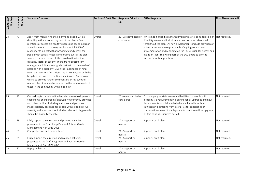| Submission<br>Number | Comment<br>Number | <b>Summary Comments</b>                                                                                                                                                                                                                                                                                                                                                                                                                                                                                                                                                                                                                                                                                                                                                                                                                                                                               | Section of Draft Plan Response Criterion | No.                                 | <b>BGPA Response</b>                                                                                                                                                                                                                                                                                                                                                                                                                | Final Plan Amended? |
|----------------------|-------------------|-------------------------------------------------------------------------------------------------------------------------------------------------------------------------------------------------------------------------------------------------------------------------------------------------------------------------------------------------------------------------------------------------------------------------------------------------------------------------------------------------------------------------------------------------------------------------------------------------------------------------------------------------------------------------------------------------------------------------------------------------------------------------------------------------------------------------------------------------------------------------------------------------------|------------------------------------------|-------------------------------------|-------------------------------------------------------------------------------------------------------------------------------------------------------------------------------------------------------------------------------------------------------------------------------------------------------------------------------------------------------------------------------------------------------------------------------------|---------------------|
| 23                   | 77                | Apart from mentioning the elderly and people with a<br>disability in the introductory part of the plan, a few<br>mentions of accessible healthy spaces and social inclusion<br>as well as mention of survey results in which 94% of<br>respondents indicated that providing good access for<br>people with special needs is important; overall the plan<br>seems to have no or very little consideration for the<br>disability sector of society. There are no specific key<br>management initiatives or goals that set out the needs of<br>persons with a disability. Given the importance of Kings<br>Park to all Western Australians and its connection with the<br>hospitals the Board of the Disability Services Commission is<br>willing to provide further commentary or review other<br>related plans that may be focused on the requirements of<br>those in the community with a disability. | Overall                                  | 2C - Already noted or<br>considered | Whilst not included as a management initiative, consideration of<br>disability access and inclusion is a clear focus as referenced<br>throughout the plan. All new developments include provision of<br>universal access where practicable. Ongoing commitment to<br>implementation and reporting on the BGPA Disability Access and<br>Inclusion Plan. The willingness of the DSC Board to provide<br>further input is appreciated. | Not required.       |
| 23                   | 78                | Car parking is considered inadequate, access to displays is<br>challenging, changerooms/ showers not currently provided<br>and other facilities including walkways and paths are<br>inappropriately designed for people with a disability. All<br>amenity and infrastructure includes cafes and playgrounds<br>should be disability friendly.                                                                                                                                                                                                                                                                                                                                                                                                                                                                                                                                                         | Overall                                  | 2C - Already noted or<br>considered | Providing appropriate access and facilities for people with<br>disability is a requirement in planning for all upgrades and new<br>developments, and is included where achievable without<br>significantly detracting from overall visitor experience or<br>conservation values. Some legacy infrastructure will be upgraded<br>on this basis as resources permit.                                                                  | Not required.       |
| 24                   | 79                | I fully support the direction and planned activities<br>presented in the Draft Kings Park and Botanic Garden<br>Management Plan 2021-2025.                                                                                                                                                                                                                                                                                                                                                                                                                                                                                                                                                                                                                                                                                                                                                            | Overall                                  | 2A - Support or<br>neutral          | Supports draft plan.                                                                                                                                                                                                                                                                                                                                                                                                                | Not required.       |
| 24                   | 80                | Comprehensive and clearly stated                                                                                                                                                                                                                                                                                                                                                                                                                                                                                                                                                                                                                                                                                                                                                                                                                                                                      | Overall                                  | 2A - Support or<br>neutral          | Supports draft plan.                                                                                                                                                                                                                                                                                                                                                                                                                | Not required.       |
| 25                   | 81                | I fully support the direction and planned activities<br>presented in the Draft Kings Park and Botanic Garden<br>Management Plan 2021-2025.                                                                                                                                                                                                                                                                                                                                                                                                                                                                                                                                                                                                                                                                                                                                                            | Overall                                  | 2A - Support or<br>neutral          | Supports draft plan.                                                                                                                                                                                                                                                                                                                                                                                                                | Not required.       |
| 25                   | 82                | Happy with Plan                                                                                                                                                                                                                                                                                                                                                                                                                                                                                                                                                                                                                                                                                                                                                                                                                                                                                       | Overall                                  | 2A - Support or<br>neutral          | Supports draft plan.                                                                                                                                                                                                                                                                                                                                                                                                                | Not required.       |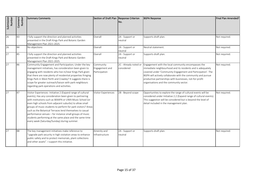| Submission<br>Number | Comment<br>Number | <b>Summary Comments</b>                                                                                                                                                                                                                                                                                                                                                                                                                                                                                                                       | Section of Draft Plan Response Criterion     | No.                                 | <b>BGPA Response</b>                                                                                                                                                                                                                                                                                                                                    | Final Plan Amended? |
|----------------------|-------------------|-----------------------------------------------------------------------------------------------------------------------------------------------------------------------------------------------------------------------------------------------------------------------------------------------------------------------------------------------------------------------------------------------------------------------------------------------------------------------------------------------------------------------------------------------|----------------------------------------------|-------------------------------------|---------------------------------------------------------------------------------------------------------------------------------------------------------------------------------------------------------------------------------------------------------------------------------------------------------------------------------------------------------|---------------------|
| 26                   | 83                | I fully support the direction and planned activities<br>presented in the Draft Kings Park and Botanic Garden<br>Management Plan 2021-2025.                                                                                                                                                                                                                                                                                                                                                                                                    | Overall                                      | 2A - Support or<br>neutral          | Supports draft plan.                                                                                                                                                                                                                                                                                                                                    | Not required.       |
| 26                   | 84                | No objections                                                                                                                                                                                                                                                                                                                                                                                                                                                                                                                                 | Overall                                      | 2A - Support or<br>neutral          | Neutral statement.                                                                                                                                                                                                                                                                                                                                      | Not required.       |
| 27                   | 85                | I fully support the direction and planned activities<br>presented in the Draft Kings Park and Botanic Garden<br>Management Plan 2021-2025.                                                                                                                                                                                                                                                                                                                                                                                                    | Overall                                      | 2A - Support or<br>neutral          | Supports draft plan.                                                                                                                                                                                                                                                                                                                                    | Not required.       |
| $\overline{27}$      | 86                | Community Engagement and Participation; Under the key<br>management initiatives, has consideration been given to<br>engaging with residents who live in/near Kings Park given<br>that there are now plenty of residential properties fringing<br>Kings Park in West Perth and Crawley? It suggests there is<br>scope for greater outreach/liaison with park neighbours<br>regarding park operations and activities.                                                                                                                           | Community<br>Engagement and<br>Participation | 2C - Already noted or<br>considered | Engagement with the local community encompasses the<br>immediate neighbourhood and its residents and is adequately<br>covered under 'Community Engagement and Participation'. The<br>BGPA will actively collaborate with the community and pursue<br>productive partnerships with businesses, not-for-profit<br>organisations and the community sector. | Not required.       |
| 27                   | 87                | Visitor Experiences- Initiative 2 (Expand range of cultural<br>events); Has any consideration been given to partnering<br>with institutions such as WAAPA or UWA Music School (or<br>even high schools from adjacent suburbs) to allow small<br>groups of music students to perform for park visitors? Areas<br>such as the Botanical Terraces lend themselves to casual<br>performance venues - for instance small groups of music<br>students performing at the same place and the same time<br>every week (Saturday/Sunday) during summer. | <b>Visitor Experiences</b>                   | 2B - Beyond scope                   | Opportunities to explore the range of cultural events will be<br>considered under Initiative 2.2 (Expand range of cultural events).<br>This suggestion will be considered but is beyond the level of<br>detail included in the management plan.                                                                                                         | Not required.       |
| 27                   | 88                | The key management initiatives make reference to<br>'upgrade park security in high visitation areas to enhance<br>public safety and to protect memorials, plant collections<br>and other assets". I support this initiative.                                                                                                                                                                                                                                                                                                                  | Amenity and<br>Infrastructure                | 2A - Support or<br>neutral          | Supports draft plan.                                                                                                                                                                                                                                                                                                                                    | Not required.       |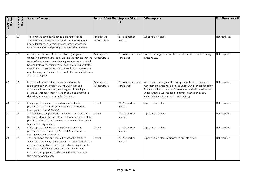| Submission<br>Number | Comment<br>Number | <b>Summary Comments</b>                                                                                                                                                                                                                                                                                                                                                                                                   | Section of Draft Plan Response Criterion | No.                                 | <b>BGPA Response</b>                                                                                                                                                                                                                                                                                     | Final Plan Amended? |
|----------------------|-------------------|---------------------------------------------------------------------------------------------------------------------------------------------------------------------------------------------------------------------------------------------------------------------------------------------------------------------------------------------------------------------------------------------------------------------------|------------------------------------------|-------------------------------------|----------------------------------------------------------------------------------------------------------------------------------------------------------------------------------------------------------------------------------------------------------------------------------------------------------|---------------------|
| 27                   | 89                | The key management initiatives make reference to<br>"Undertake an integrated transport planning exercise to<br>inform longer term upgrades to pedestrian, cyclist and<br>vehicle circulation and parking". I support this initiative.                                                                                                                                                                                     | Amenity and<br>Infrastructure            | 2A - Support or<br>neutral          | Supports draft plan.                                                                                                                                                                                                                                                                                     | Not required.       |
| 27                   | 90                | Amenity and Infrastructure - Initiative 6 (Integrated<br>transport planning exercise); could I please request that the Infrastructure<br>terms of reference for any planning exercise are expanded<br>beyond traffic circulation and parking to also include traffic<br>speeds and anti-social behaviour. I would also request that<br>any planning exercise includes consultation with neighbours<br>adjoining the park. | Amenity and                              | 2C - Already noted or<br>considered | Noted. This suggestion will be considered when implementing<br>Initiative 5.6.                                                                                                                                                                                                                           | Not required.       |
| $\overline{27}$      | 91                | I also note that no real mention is made of waste<br>management in the Draft Plan. The BGPA staff and<br>volunteers do an absolutely amazing job of cleaning up<br>litter but I wonder if more attention could be directed to<br>deterring/preventing litter in the first place.                                                                                                                                          | Amenity and<br>Infrastructure            | 2C - Already noted or<br>considered | While waste management is not specifically mentioned as a<br>management initiative, it is noted under Our intended focus for<br>Science and Environmental Conservation and will be addressed<br>under Initiative 3.1 (Respond to climate change and show<br>leadership in environmental sustainability). | Not required.       |
| 28                   | 92                | I fully support the direction and planned activities<br>presented in the Draft Kings Park and Botanic Garden<br>Management Plan 2021-2025.                                                                                                                                                                                                                                                                                | Overall                                  | 2A - Support or<br>neutral          | Supports draft plan.                                                                                                                                                                                                                                                                                     | Not required.       |
| 28                   | 93                | The plan looks comprehensive and well thought out, I like<br>that the park is broken into its key interest sections and the<br>plan is structured to welcome new community interest and<br>features moving forward.                                                                                                                                                                                                       | Overall                                  | 2A - Support or<br>neutral          | Supports draft plan.                                                                                                                                                                                                                                                                                     | Not required.       |
| 29                   | 94                | I fully support the direction and planned activities<br>presented in the Draft Kings Park and Botanic Garden<br>Management Plan 2021-2025.                                                                                                                                                                                                                                                                                | Overall                                  | 2A - Support or<br>neutral          | Supports draft plan.                                                                                                                                                                                                                                                                                     | Not required.       |
| 29                   | 95                | The plan shows care and commitment to the Western<br>Australian community and aligns with Water Corporation's<br>community objectives. There is opportunity to partner to<br>educate the community on water, conservation and<br>community engagement initiatives in the future where<br>there are common goals.                                                                                                          | Overall                                  | 2A - Support or<br>neutral          | Supports draft plan. Additional comments noted.                                                                                                                                                                                                                                                          | Not required.       |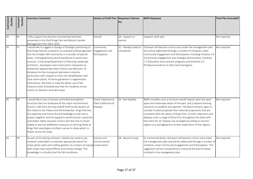| Submission<br>Number | Comment<br>Number | <b>Summary Comments</b>                                                                                                                                                                                                                                                                                                                                                                                                                                                                                                                                                                                                                                                                                                                                              | Section of Draft Plan Response Criterion                      | No.                                 | <b>BGPA Response</b>                                                                                                                                                                                                                                                                                                                                                                                                                                                                                                                     | Final Plan Amended? |
|----------------------|-------------------|----------------------------------------------------------------------------------------------------------------------------------------------------------------------------------------------------------------------------------------------------------------------------------------------------------------------------------------------------------------------------------------------------------------------------------------------------------------------------------------------------------------------------------------------------------------------------------------------------------------------------------------------------------------------------------------------------------------------------------------------------------------------|---------------------------------------------------------------|-------------------------------------|------------------------------------------------------------------------------------------------------------------------------------------------------------------------------------------------------------------------------------------------------------------------------------------------------------------------------------------------------------------------------------------------------------------------------------------------------------------------------------------------------------------------------------------|---------------------|
| $\overline{30}$      | 96                | I fully support the direction and planned activities<br>presented in the Draft Kings Park and Botanic Garden<br>Management Plan 2021-2025.                                                                                                                                                                                                                                                                                                                                                                                                                                                                                                                                                                                                                           | Overall                                                       | 2A - Support or<br>neutral          | Supports draft plan.                                                                                                                                                                                                                                                                                                                                                                                                                                                                                                                     | Not required.       |
| 30                   | 97                | I would like to suggest a change of Strategic positioning so<br>that Kings Park be involved in an outward looking approach<br>into the broader WA community in a number of specific<br>areas. 1) Bringing horticultural excellence to assist local<br>councils. 2) Assisting Department of Planning, landscape<br>architects, developers and construction companies to<br>implement appropriate plant choices and aftercare. 3)<br>Guidance for the mining and petroleum industry<br>particularly with respect to mine site rehabilitation with<br>local native plants. 4) Home gardeners in regenerative<br>horticulture. We have to make far better use of the<br>treasure chest of biodiversity that the residents of and<br>visitors to Western Australia enjoy. | Community<br>Engagement and<br>Participation                  | 2C - Already noted or<br>considered | Outreach will become a focus area under the management plan<br>and will be addressed through a number of initiatives under<br>Community Engagement and Participation including Initiative 1.6<br>(Community engagement and strategic partnerships), Initiative<br>1.7 (Education and outreach programs and Initiative 1.9<br>(Professional advice to other land managers).                                                                                                                                                               | Not required.       |
| $\overline{30}$      | 98                | I would like to see a massive controlled atmosphere<br>structure that can showcase all the major environments<br>found in 'WA from the top of Bluff Knoll to the deserts of<br>the inland to the Pilbara and the Kimberlies. Kings Park has<br>the expertise and horticultural knowledge to pull such a<br>project together and the appeal to world tourism cannot be<br>overstated. Many overseas visitors lack the time to travel<br>widely to see out wildflower treasures so centring these at<br>Kings Park would give a brilliant canvas to show what's in<br>flower across the state.                                                                                                                                                                         | <b>Visitor Experiences</b><br>Plant Collections &<br>Displays | 2E - Not feasible                   | BGPA considers such a structure would impose upon the open<br>space and landscape values of the park, and is beyond existing<br>resources to establish and operate. The Board remains open to<br>consider funded proposals from external proponents that are<br>consistent with the values of Kings Park. Current collections and<br>displays cover a range of flora from throughout the State with<br>free entry for all. Displays are arranged according to tourism<br>regions as a springboard to further exploration of the regions. | Not required.       |
| 30                   | 99                | As part of increasing outreach, I believe we need to see<br>research undertaken to evaluate appropriate plants for<br>urban green walls and rooftop gardens as a means of coping Conservation<br>with Urban Heat Island Effects and climate change. This<br>knowledge is critically short for WA conditions.                                                                                                                                                                                                                                                                                                                                                                                                                                                         | Science and<br>Environmental                                  | 2B - Beyond scope                   | As mentioned above, Outreach will become a focus area under<br>the management plan and will be addressed through a number of<br>initiatives under Community Engagement and Participation. This<br>suggestion will be considered but is beyond the level of detail<br>included in the management plan.                                                                                                                                                                                                                                    | Not required.       |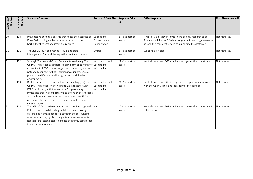| Submission<br>Number | Comment<br>Number | Summary Comments                                                                                                                                                                                                                                                                                                                                                                          | Section of Draft Plan Response Criterion      | No.                        | <b>BGPA Response</b>                                                                                                                                                                               | Final Plan Amended? |
|----------------------|-------------------|-------------------------------------------------------------------------------------------------------------------------------------------------------------------------------------------------------------------------------------------------------------------------------------------------------------------------------------------------------------------------------------------|-----------------------------------------------|----------------------------|----------------------------------------------------------------------------------------------------------------------------------------------------------------------------------------------------|---------------------|
| $\overline{30}$      | 100               | Preventative burning is an area that needs the expertise of<br>Kings Park to bring a science based approach to the<br>horticultural effects of current fire regimes.                                                                                                                                                                                                                      | Science and<br>Environmental<br>Conservation  | 2A - Support or<br>neutral | Kings Park is already involved in fire ecology research as per<br>Science and Initiative 3.5 (Lead long-term fire ecology research),<br>as such this comment is seen as supporting the draft plan. | Not required.       |
| 31                   | 101               | The OEIIMC Trust commends KPBG on its draft<br>Management Plan and the aspirations outlined therein.                                                                                                                                                                                                                                                                                      | Overall                                       | 2A - Support or<br>neutral | Supports draft plan.                                                                                                                                                                               | Not required.       |
| 31                   | 102               | Strategic Themes and Goals: Community Wellbeing. The<br>QEIIMC Trust recognises there is a significant opportunity to Background<br>connect with KPBG to encourage open community spaces,<br>potentially connecting both locations to support sense of<br>place, active lifestyles, wellbeing and establish healing<br>environments.                                                      | Introduction and<br><b>Information</b>        | 2A - Support or<br>neutral | Neutral statement. BGPA similarly recognises the opportunity.                                                                                                                                      | Not required.       |
| 31                   | 103               | Back to nature for physical and mental health (pg 17). The<br>QEIIMC Trust office is very willing to work together with<br>KPBG particularly with the new Kids Bridge opening to<br>investigate creating connectivity and extension of landscape<br>and public realm areas in order to improve connectivity,<br>activation of outdoor spaces, community well-being and<br>sense of place. | Introduction and<br>Background<br>Information | 2A - Support or<br>neutral | Neutral statement. BGPA recognises the opportunity to work<br>with the QEIIMC Trust and looks forward to doing so.                                                                                 | Not required.       |
| 31                   | 104               | The QEIIMC Trust believes it is important for it engage with NA<br>KPBG to discuss collaborating with KPBG on improving<br>cultural and heritage connections within the surrounding<br>area, for example, by discussing potential enhancements to<br>heritage, character, botanic richness and surrounding urban<br>fabric and environment.                                               |                                               | 2A - Support or<br>neutral | Neutral statement. BGPA similarly recognises the opportunity for Not required.<br>collaboration.                                                                                                   |                     |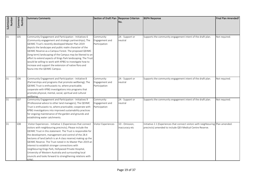| Submission<br>Number | Comment<br>Number | <b>Summary Comments</b>                                                                                                                                                                                                                                                                                                                                                                                                                                                                                                                                                                                                   | Section of Draft Plan Response Criterion     | No.                              | <b>BGPA Response</b>                                                                                                                            | Final Plan Amended? |
|----------------------|-------------------|---------------------------------------------------------------------------------------------------------------------------------------------------------------------------------------------------------------------------------------------------------------------------------------------------------------------------------------------------------------------------------------------------------------------------------------------------------------------------------------------------------------------------------------------------------------------------------------------------------------------------|----------------------------------------------|----------------------------------|-------------------------------------------------------------------------------------------------------------------------------------------------|---------------------|
| 31                   | 105               | Community Engagement and Participation - Initiatives 6<br>(Community engagement and strategic partnerships); The<br>QEIIMC Trust's recently developed Master Plan 2019<br>depicts the landscape and public realm character of the<br>QEIIMC Reserve as a Campus Forest. The proposed QEIIMC<br>(long term) landscaping of the Campus may be likened to an<br>effort to extend aspects of Kings Park landscaping. The Trust<br>would be willing to work with KPBG to investigate how to<br>increase and support the extension of native flora and<br>fauna into the QEIIMC Campus.                                         | Community<br>Engagement and<br>Participation | 2A - Support or<br>neutral       | Supports the community engagement intent of the draft plan.                                                                                     | Not required.       |
| 31                   | 106               | Community Engagement and Participation - Initiative 8<br>(Partnerships and programs that promote wellbeing); The<br>QEIIMC Trust is enthusiastic to, where practicable;<br>cooperate with KPBG investigations into programs that<br>promote physical, mental, social, spiritual and cultural<br>wellbeing.                                                                                                                                                                                                                                                                                                                | Community<br>Engagement and<br>Participation | 2A - Support or<br>neutral       | Supports the community engagement intent of the draft plan.                                                                                     | Not required.       |
| 31                   | 107               | Community Engagement and Participation - Initiatives 9<br>(Professional advice to other land managers); The QEIIMC<br>Trust is enthusiastic to, where practicable; cooperate with<br>KPBG investigations into improved sustainability practices<br>for ongoing maintenance of the garden and grounds and<br>establishing water catchments.                                                                                                                                                                                                                                                                                | Community<br>Engagement and<br>Participation | 2A - Support or<br>neutral       | Supports the community engagement intent of the draft plan.                                                                                     | Not required.       |
| 31                   | 108               | Visitor Experiences - Initiative 1 (Experiences that connect<br>visitors with neighbouring precincts); Please include the<br>QEIIMC Trust in this statement. The Trust is responsible for<br>the development, management and control of the 28.4<br>hectares of land (which is an A class reserve) making up the<br>QEIIMC Reserve. The Trust noted in its Master Plan 2019 an<br>interest to establish stronger connections with<br>neighbouring Kings Park, Hollywood Private Hospital,<br>University of Western Australia and surrounding local<br>councils and looks forward to strengthening relations with<br>KPBG. | Visitor Experiences                          | 1D - Omission,<br>inaccuracy etc | Initiative 2.1 (Experiences that connect visitors with neighbouring Plan amended.<br>precincts) amended to include QEII Medical Centre Reserve. |                     |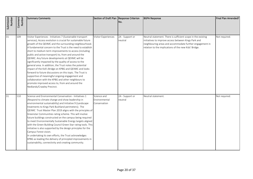| Submission<br>Number | Comment<br>Number | Summary Comments                                                                                                                                                                                                                                                                                                                                                                                                                                                                                                                                                                                                                                                                                                                                                                                                                                                      | Section of Draft Plan Response Criterion     | INo.                       | <b>BGPA Response</b>                                                                                                                                                                                                                      | Final Plan Amended? |
|----------------------|-------------------|-----------------------------------------------------------------------------------------------------------------------------------------------------------------------------------------------------------------------------------------------------------------------------------------------------------------------------------------------------------------------------------------------------------------------------------------------------------------------------------------------------------------------------------------------------------------------------------------------------------------------------------------------------------------------------------------------------------------------------------------------------------------------------------------------------------------------------------------------------------------------|----------------------------------------------|----------------------------|-------------------------------------------------------------------------------------------------------------------------------------------------------------------------------------------------------------------------------------------|---------------------|
| $\overline{31}$      | 109               | Visitor Experiences - Initiatives 7 (Sustainable transport<br>services); Access evolution is crucial for sustainable future<br>growth of the QEIIMC and the surrounding neighbourhood.<br>A fundamental concern to the Trust is the need to establish<br>short to medium term improvements to access (including<br>public and active transport) to, from and around the<br>QEIIMC. Any future developments at QEIIMC will be<br>significantly impacted by the quality of access to the<br>general area. In addition, the Trust notes the potential<br>impact of the Kid's Bridge on KPBG and QEIIMC and looks<br>forward to future discussions on this topic. The Trust is<br>supportive of meaningful ongoing engagement and<br>collaboration with the KPBG and other neighbours to<br>promote improved access to, from and around the<br>Nedlands/Crawley Precinct. | Visitor Experiences                          | 2A - Support or<br>neutral | Neutral statement. There is sufficient scope in the existing<br>initiatives to improve access between Kings Park and<br>neighbouring areas and accommodate further engagement in<br>relation to the implications of the new Kids' Bridge. | Not required.       |
| $\overline{31}$      | 110               | Science and Environmental Conservation - Initiatives 1<br>(Respond to climate change and show leadership in<br>environmental sustainability) and Initiative 9 (Landscape<br>treatments to Kings Park Bushland perimeters); The<br>QEIIMC Trust Master Plan 2019 aligns with the principles of<br>Greenstar Communities rating scheme. This will involve<br>future buildings constructed on the campus being required<br>to meet Environmentally Sustainable Energy targets aligned<br>with the Green Building Council Green Star rating tools. This<br>initiative is also supported by the design principles for the<br>Campus Forest vision.<br>In undertaking its own efforts, the Trust acknowledges<br>KPBG as leading the delivery of principled improvements in<br>sustainability, connectivity and creating community.                                         | Science and<br>Environmental<br>Conservation | 2A - Support or<br>neutral | Neutral statement.                                                                                                                                                                                                                        | Not required.       |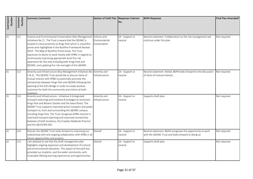| Submission<br>Number | Comment<br>Number | <b>Summary Comments</b>                                                                                                                                                                                                                                                                                                                                                                                                                                                                                                                                | Section of Draft Plan Response Criterion | No.                        | <b>BGPA Response</b>                                                                                               | Final Plan Amended? |
|----------------------|-------------------|--------------------------------------------------------------------------------------------------------------------------------------------------------------------------------------------------------------------------------------------------------------------------------------------------------------------------------------------------------------------------------------------------------------------------------------------------------------------------------------------------------------------------------------------------------|------------------------------------------|----------------------------|--------------------------------------------------------------------------------------------------------------------|---------------------|
| 31                   | 111               | Science and Environmental Conservation (Key Management Science and<br>Initiatives No.7). The Trust is aware that the QEIIMC is<br>located in close proximity to Kings Park which is a bushfire<br>prone area highlighted in the Bushfire Framework Review<br>2019 - The Map of Bushfire Prone Areas. The Trust<br>expresses its desire to work closely with KPBG in regards to<br>continuously improving appropriate bush fire risk<br>awareness for the area including both Kings Park and<br>QEIIMC, and updating fire risk oversight of the QEIIMC. | Environmental<br>Conservation            | 2A - Support or<br>neutral | Neutral statement. Collaboration on fire risk management will<br>continue under this plan.                         | Not required.       |
| 31                   | 112               | Amenity and Infrastructure (Key Management Initiatives No Amenity and<br>1 & 5). The QEIIMC Trust would like to discuss items of<br>mutual interest with KPBG to potentially promote the<br>connectivity between Kings Park and QEIIMC following the<br>opening of the Kid's Bridge in order to create positive<br>outcomes for both the community and visitors at both<br>locations.                                                                                                                                                                  | Infrastructure                           | 2A - Support or<br>neutral | Neutral statement. Noted, BGPA looks forward to the discussion<br>of items of mutual interest.                     | Not required.       |
| 31                   | 113               | Amenity and Infrastructure - Initiatives 6 (Integrated<br>transport planning) and Initiative 8 (Linkages to reconnect<br>Kings Park and Botanic Garden and the Swan River); The<br>QEIIMC Trust supports improved active transport and public<br>transport to, from and surrounding the QEIIMC campus,<br>including Kings Park. The Trust recognises KPBG interest in<br>improved transport planning and improved connectivity<br>between of both locations, the Crawley-Nedlands Precinct<br>and the QEII/UWA SAC.                                    | Amenity and<br>Infrastructure            | 2A - Support or<br>neutral | Supports draft plan.                                                                                               | Not required.       |
| 31                   | 114               | Overall, the QEIIMC Trust looks forward to improving our<br>relationship with and ongoing collaboration with KPBG in all<br>future opportunities and projects.                                                                                                                                                                                                                                                                                                                                                                                         | Overall                                  | 2A - Support or<br>neutral | Neutral statement. BGPA recognises the opportunity to work<br>with the QEIIMC Trust and looks forward to doing so. | Not required.       |
| 32                   | 115               | I am pleased to see that the draft management plan<br>highlights ongoing expansion and development of cultural<br>and environmental education. This aspect of the park has<br>provided our students, and the wider community, with<br>invaluable lifelong learning experiences and opportunities.                                                                                                                                                                                                                                                      | Overall                                  | 2A - Support or<br>neutral | Supports draft plan.                                                                                               | Not required.       |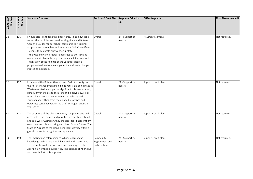| Submission<br>Number | Comment<br>Number | Summary Comments                                                                                                                                                                                                                                                                                                                                                                                                                                                                                                                                             | Section of Draft Plan Response Criterion     | INo.                       | <b>BGPA Response</b> | Final Plan Amended? |
|----------------------|-------------------|--------------------------------------------------------------------------------------------------------------------------------------------------------------------------------------------------------------------------------------------------------------------------------------------------------------------------------------------------------------------------------------------------------------------------------------------------------------------------------------------------------------------------------------------------------------|----------------------------------------------|----------------------------|----------------------|---------------------|
| 32                   | 116               | I would also like to take this opportunity to acknowledge<br>some other facilities and services Kings Park and Botanic<br>Garden provides for our school communities including:<br>• a place to contemplate and mourn our ANZAC sacrifices;<br>· events to celebrate our wonderful state;<br>• the vast and varied recreational areas to exercise and<br>more recently learn through Naturescape initiatives; and<br>• utilisation of the findings of the various research<br>programs to drive tree management and climate change<br>strategies in schools. | Overall                                      | 2A - Support or<br>neutral | Neutral statement.   | Not required.       |
| 32                   | 117               | I commend the Botanic Gardens and Parks Authority on<br>their draft Management Plan. Kings Park is an iconic place in<br>Western Australia and plays a significant role in education,<br>particularly in the areas of culture and biodiversity. I look<br>forward with enthusiasm to seeing our schools and<br>students benefitting from the planned strategies and<br>outcomes contained within the Draft Management Plan<br>2021-2025.                                                                                                                     | Overall                                      | 2A - Support or<br>neutral | Supports draft plan. | Not required.       |
| 33                   | 118               | The structure of the plan is relevant, comprehensive and<br>accessible. The themes and priorities are easily identified,<br>and as a West Australian, they are also identifiable with my<br>own preferred place of living and vision for our future. The<br>State of Purpose of the plan linking local identity within a<br>global context is recognised and applauded.                                                                                                                                                                                      | Overall                                      | 2A - Support or<br>neutral | Supports draft plan. | Not required.       |
| 33                   | 119               | The imaging and referencing to Whadjuck Noongar<br>knowledge and culture is well balanced and appreciated.<br>The intent to continue with internal renaming to reflect<br>Aboriginal heritage is supported. The balance of Aboriginal<br>and colonial history is important.                                                                                                                                                                                                                                                                                  | Community<br>Engagement and<br>Participation | 2A - Support or<br>neutral | Supports draft plan. | Not required.       |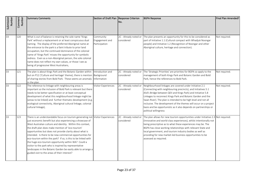| Submission<br>Number | Comment<br>Number | <b>Summary Comments</b>                                                                                                                                                                                                                                                                                                                                                                                                                                                                                                                                                                                                                                              | Section of Draft Plan Response Criterion      | No.                                 | <b>BGPA Response</b>                                                                                                                                                                                                                                                                                                                                                                                                                                                                        | Final Plan Amended? |
|----------------------|-------------------|----------------------------------------------------------------------------------------------------------------------------------------------------------------------------------------------------------------------------------------------------------------------------------------------------------------------------------------------------------------------------------------------------------------------------------------------------------------------------------------------------------------------------------------------------------------------------------------------------------------------------------------------------------------------|-----------------------------------------------|-------------------------------------|---------------------------------------------------------------------------------------------------------------------------------------------------------------------------------------------------------------------------------------------------------------------------------------------------------------------------------------------------------------------------------------------------------------------------------------------------------------------------------------------|---------------------|
| 33                   | 120               | What is out of balance is retaining the sole name 'Kings<br>Park' without a replacement or at least conspicuous dual<br>naming. The display of the preferred Aboriginal name at<br>the entrance to the park is a faint tribute to prior land<br>occupation, but the continued dominance of the colonial<br>name of 'Kings Park' misses the opportunity for symbolic<br>redress. Even as a non-Aboriginal person, the sole colonial<br>name does not reflect my own values, or those I see as<br>being of progressive West Australians,                                                                                                                               | Community<br>Engagement and<br>Participation  | 2C - Already noted or<br>considered | The plan presents an opportunity for this to be considered as<br>part of Initiative 1.1 (Cultural compact with Whadjuk Noongar<br>people) and Initiative 1.2 (Recognition of Noongar and other<br>Aboriginal culture, heritage and connection).                                                                                                                                                                                                                                             | Not required.       |
| 33                   | 121               | The plan is about Kings Park and the Botanic Garden within<br>but on P12 ('Culture and heritage' theme), there is mention<br>of sharing stories from Bold Park. These seems an anomaly<br>in the plan.                                                                                                                                                                                                                                                                                                                                                                                                                                                               | Introduction and<br>Background<br>Information | 2C - Already noted or<br>considered | The 'Strategic Priorities' are priorities for BGPA so apply to the<br>management of both Kings Park and Botanic Garden and Bold<br>Park, hence the references to Bold Park.                                                                                                                                                                                                                                                                                                                 | Not required.       |
| 33                   | 122               | The reference to linkage with neighbouring areas is<br>important so the inclusion of Bold Park is relevant but there<br>needs to be better specification or at least conceptual<br>development of what this neighbourhood linkage might be<br>(areas to be linked) and further thematic development (e.g.<br>ecological connectivity, Aboriginal cultural linkage, colonial<br>cultural linkage),                                                                                                                                                                                                                                                                    | Visitor Experiences                           | 2C - Already noted or<br>considered | Neighbourhood linkages are covered under Initiative 2.1<br>(Connecting with neighbouring precincts), and Initiatives 5.1<br>(Kid's Bridge between QEII and Kings Park) and Initiative 5.8<br>Linkages to reconnect Kings Park and Botanic Garden and the<br>Swan River). The plan is intended to be high level and not all<br>inclusive. The development of the themes will occur on a project<br>basis and be opportunistic as it also depends on partnerships or<br>political willingness | Not required.       |
| 33                   | 123               | There is an understandable focus on tourism generating not<br>just economic benefit but also experiencing a showcase of<br>West Australian culture and identity. Within this context,<br>the draft plan does make mention of 'eco-tourism'<br>opportunities but does not provide clarity about what is<br>intended. Is there to be new commercial opportunities for<br>eco-tourism within the park? If so, is this to be linked with<br>the huge eco-tourism opportunity within WA? Could a<br>visitor to the park who is inspired by representative<br>landscapes in the Botanic Garden be easily able to arrange a<br>guided visit to the areas of their interest? | Visitor Experiences                           | 2C - Already noted or<br>considered | The plan allows for new tourism opportunities under Initiative 2.3<br>(Innovative and world-class experiences), whilst intentionally not<br>being prescriptive as to what these experiences may be. The<br>BGPA has close working relationships with relevant State and<br>local government, and tourism industry bodies as well as<br>providing for new market-led business opportunities to be<br>assessed as required.                                                                   | Not required.       |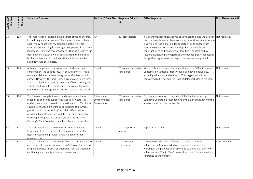| Submission<br>Number | Comment<br>Number | <b>Summary Comments</b>                                                                                                                                                                                                                                                                                                                                                                                                                                                                 | Section of Draft Plan Response Criterion     | No.                                 | <b>BGPA Response</b>                                                                                                                                                                                                                                                                                                                                                                                                                                                                | Final Plan Amended? |
|----------------------|-------------------|-----------------------------------------------------------------------------------------------------------------------------------------------------------------------------------------------------------------------------------------------------------------------------------------------------------------------------------------------------------------------------------------------------------------------------------------------------------------------------------------|----------------------------------------------|-------------------------------------|-------------------------------------------------------------------------------------------------------------------------------------------------------------------------------------------------------------------------------------------------------------------------------------------------------------------------------------------------------------------------------------------------------------------------------------------------------------------------------------|---------------------|
| 33                   | 124               | The importance of engaging the interest of young children<br>in the living environment can't be over-estimated. I have<br>spent many hours with my grandson at the Rio Tinto<br>Naturescape watching kids engage their parents in a natural<br>landscape. They don't want to leave. That particular venue<br>does get very crowded which detracts from the engaging<br>bush experience which indicates that additional similar<br>settings would be valuable.                           | <b>NA</b>                                    | 2E - Not feasible                   | It is acknowledged that at some peak visitation times the site can Not required.<br>become busy, however there are many other times when the site<br>is very quiet. Additional similar opportunities to engage with<br>nature already exist throughout Kings Park and while the<br>construction of additional similar facilities is constrained by<br>resourcing, nature play objectives do influence BGPA's landscape<br>design thinking when other playground areas are upgraded. |                     |
| 33                   | 125               | Although the general concepts are on biodiversity and<br>conservation, the specific focus in on wildflowers. This is<br>understandable with there being the world-class botanic<br>garden. However, the park is also a great place to see birds.<br>The draft plan has no specific mention of birds although all<br>visitors can't avoid their conspicuous activity in the park.<br>Could there not be a greater focus on the parks avifauna?                                           | Overall                                      | 2C - Already noted or<br>considered | While birds are not specifically mentioned, the BGPA Science and Not required.<br>Conservation Strategic Priority covers all native biodiversity,<br>including education and outreach. This suggestion will be<br>considered but is beyond the level of detail included in the plan.                                                                                                                                                                                                |                     |
| 33.                  | 126               | The focus on revegetation and landscape rehabilitation is<br>recognised and to be supported, especially where it is<br>enabling community-based conservation effort. This focus<br>could be enhanced if it were to be linked to the current<br>global concept of 're-wilding', which in effect means<br>providing habitat to attract wildlife. The opportunity to<br>encourage revegetation for birds, especially the iconic<br>Carnaby's Black Cockatoo could be enhanced in the plan. | Science and<br>Environmental<br>Conservation | 2C - Already noted or<br>considered | Ecological restoration to provide wildlife habitat including<br>Carnaby's Cockatoo is intended under the plan but is beyond the<br>level of detail included in the plan.                                                                                                                                                                                                                                                                                                            | Not required.       |
| 33                   | 127               | The high-level focus on volunteers is to be applauded.<br>Engagement of volunteers within the park is currently<br>highly effective and provides a role model for other<br>organisations.                                                                                                                                                                                                                                                                                               | Overall                                      | 2A - Support or<br>neutral          | Supports draft plan.                                                                                                                                                                                                                                                                                                                                                                                                                                                                | Not required.       |
| 33                   | 128               | The draft plan does variously note first that there are 1,000<br>and later that there about more than 500 volunteers. This<br>simple difference in a statistic detracts from the intended<br>continuing high quality volunteer involvement,                                                                                                                                                                                                                                             | Overall                                      | 1D - Omission,<br>inaccuracy etc    | The figure of 1000, is in reference to the total number of<br>volunteers, 500-plus of which are regular volunteers. The<br>wording of the plan has been amended to clarify that the new<br>volunteer hub 'Wanju Marr' is used by active volunteers with no<br>reference to the number.                                                                                                                                                                                              | Plan amended.       |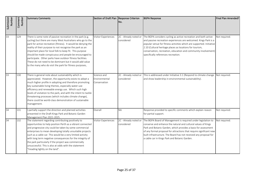| Submission<br>Number | Comment<br>Number | <b>Summary Comments</b>                                                                                                                                                                                                                                                                                                                                                                                                                                                                                                                                        | Section of Draft Plan Response Criterion     | INo.                                | <b>BGPA Response</b>                                                                                                                                                                                                                                                                                                                                                                          | Final Plan Amended? |
|----------------------|-------------------|----------------------------------------------------------------------------------------------------------------------------------------------------------------------------------------------------------------------------------------------------------------------------------------------------------------------------------------------------------------------------------------------------------------------------------------------------------------------------------------------------------------------------------------------------------------|----------------------------------------------|-------------------------------------|-----------------------------------------------------------------------------------------------------------------------------------------------------------------------------------------------------------------------------------------------------------------------------------------------------------------------------------------------------------------------------------------------|---------------------|
| 33                   | 129               | There is some note of passive recreation in the park (e.g.<br>cycling) but there are many West Australians who go to the<br>park for active recreation (fitness). It would be denying the<br>reality of their purpose to not recognise the park as an<br>important place for local folk to keep fit. This purpose<br>should be made conspicuous and people be encouraged to<br>participate. Other parks have outdoor fitness facilities.<br>These do not need to be dominant but it would add value<br>to the many who do visit the park for fitness purposes, | <b>Visitor Experiences</b>                   | 2C - Already noted or<br>considered | The BGPA considers cycling as active recreation and both active<br>and passive recreation experiences are welcomed. Kings Park is a<br>popular venue for fitness activities which are supported. Initiative<br>2.10 (Cultural heritage places as locations for tourism,<br>conservation, recreation, education and community involvement)<br>specifically references recreation.              | Not required.       |
| 33                   | 130               | There is general note about sustainability which is<br>appreciated. However, the opportunity exists to adopt a<br>much higher profile in adopting and therefore promoting<br>key sustainable living themes, especially water-use<br>efficiency and renewable energy use. Which such high<br>levels of visitation to the park, and with the intent to tackle<br>threatening processes (which includes climate change),<br>there could be world-class demonstration of sustainable<br>management.                                                                | Science and<br>Environmental<br>Conservation | 2C - Already noted or<br>considered | This is addressed under Initiative 3.1 (Respond to climate change<br>and show leadership in environmental sustainability).                                                                                                                                                                                                                                                                    | Not required.       |
| 34                   | 131               | I partially support the direction and planned activities<br>presented in the Draft Kings Park and Botanic Garden<br>Management Plan 2021-2025.                                                                                                                                                                                                                                                                                                                                                                                                                 | Overall                                      | <b>NA</b>                           | Response provided to specific comments which explain reason<br>for partial support.                                                                                                                                                                                                                                                                                                           | Not required.       |
| 34                   | 132               | The statement regarding contributing positively to<br>opportunities to help position Perth as a vibrant connected<br>and progressive city could be taken by some commercial<br>enterprises to mean developing totally unsuitable projects<br>such as a cable car. This would be a very limited activity<br>with long term negative consequences for the integrity of<br>the park particularly if the project was commercially<br>unsuccessful. This is also at odds with the statement<br>'treading lightly on the land".                                      | <b>Visitor Experiences</b>                   | 2C - Already noted or<br>considered | The BGPA Board of Management is required under legislation to<br>conserve and enhance the natural and cultural values of Kings<br>Park and Botanic Garden, which provides a basis for assessment<br>of any formal proposal for attractions that require significant new<br>built infrastructure. The Board has not received any proposal for<br>a cable car in Kings Park and Botanic Garden. | Not required.       |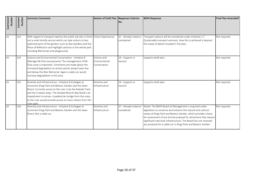| Submission<br>Number | Comment<br>Number | <b>Summary Comments</b>                                                                                                                                                                                                                                                                                                                                                              | Section of Draft Plan Response Criterion     | INo.                                | <b>BGPA Response</b>                                                                                                                                                                                                                                                                                                                                                                                 | Final Plan Amended? |
|----------------------|-------------------|--------------------------------------------------------------------------------------------------------------------------------------------------------------------------------------------------------------------------------------------------------------------------------------------------------------------------------------------------------------------------------------|----------------------------------------------|-------------------------------------|------------------------------------------------------------------------------------------------------------------------------------------------------------------------------------------------------------------------------------------------------------------------------------------------------------------------------------------------------------------------------------------------------|---------------------|
| 34                   | 133               | With regard to transport options the public ask why is there Visitor Experiences<br>not a small shuttle service which can take visitors to less<br>explored parts of the gardens such as Roe Gardens and the<br>Place of Reflection and highlight sections in the whole park<br>including Memorials and playgrounds                                                                  |                                              | 2C - Already noted or<br>considered | Transport options will be considered under Initiative 2.7<br>(Sustainable transport services). How this is achieved is beyond<br>the scope of detail included in the plan.                                                                                                                                                                                                                           | Not required.       |
| 34                   | 134               | Science and Environmental Conservation - Initiative 8<br>(Manage Mt Eliza escarpment); The management of Mt.<br>Eliza scarp is important. Comments are made about the<br>increased degradation at certain points along Fraser Ave<br>and below the War Memorial. Again a cable car would<br>increase degradation in this area.                                                       | Science and<br>Environmental<br>Conservation | 2A - Support or<br>neutral          | Supports draft plan.                                                                                                                                                                                                                                                                                                                                                                                 | Not required.       |
| 34                   | 135               | Amenity and Infrastructure - Initiative 8 (Linkages to<br>reconnect Kings Park and Botanic Garden and the Swan<br>River); Currently access to the river is by the Kokoda Track<br>and the Crawley steps. The divided Mounts Bay Road is an<br>impediment to access. A pedestrian bridge from the scarp<br>to the river would provide access to more visitors from the<br>river path. | Amenity and<br>Infrastructure                | 2A - Support or<br>neutral          | Supports draft plan.                                                                                                                                                                                                                                                                                                                                                                                 | Not required.       |
| 34                   | 136               | Amenity and Infrastructure - Initiative 8 (Linkages to<br>reconnect Kings Park and Botanic Garden and the Swan<br>River); Not a cable car.                                                                                                                                                                                                                                           | Amenity and<br>Infrastructure                | 2C - Already noted or<br>considered | Noted. The BGPA Board of Management is required under<br>legislation to conserve and enhance the natural and cultural<br>values of Kings Park and Botanic Garden, which provides a basis<br>for assessment of any formal proposal for attractions that require<br>significant new built infrastructure. The Board has not received<br>any proposal for a cable car in Kings Park and Botanic Garden. | Not required.       |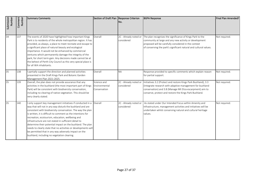| Submission<br>Number | Comment<br>Number | <b>Summary Comments</b>                                                                                                                                                                                                                                                                                                                                                                                                                                                                                                                                                                                     | Section of Draft Plan Response Criterion     | INo.                                | <b>BGPA Response</b>                                                                                                                                                                                                                                                     | Final Plan Amended? |
|----------------------|-------------------|-------------------------------------------------------------------------------------------------------------------------------------------------------------------------------------------------------------------------------------------------------------------------------------------------------------------------------------------------------------------------------------------------------------------------------------------------------------------------------------------------------------------------------------------------------------------------------------------------------------|----------------------------------------------|-------------------------------------|--------------------------------------------------------------------------------------------------------------------------------------------------------------------------------------------------------------------------------------------------------------------------|---------------------|
| $\overline{34}$      | 137               | The events of 2020 have highlighted how important Kings<br>Park is to residents of the whole metropolitan region. It has<br>provided, as always, a place to meet recreate and escape to<br>a significant place of natural beauty and ecological<br>importance. It would not be enhanced by commercial<br>ventures which permanently damage the integrity of the<br>park, for short term gain. Any decisions made cannot be at<br>the behest of Perth City Council as this very special place is<br>for all WA inhabitants.                                                                                  | Overall                                      | 2C - Already noted or<br>considered | The plan recognises the significance of Kings Park to the<br>community at large and any new activity or development<br>proposed will be carefully considered in the context<br>of conserving the park's significant natural and cultural values.                         | Not required.       |
| 35                   | 138               | partially support the direction and planned activities<br>presented in the Draft Kings Park and Botanic Garden<br>Management Plan 2021-2025.                                                                                                                                                                                                                                                                                                                                                                                                                                                                | Overall                                      | <b>NA</b>                           | Response provided to specific comments which explain reason<br>for partial support.                                                                                                                                                                                      | Not required.       |
| 35                   | 139               | Overall, the plan does not provide assurance that any<br>activities in the bushland (the most important part of Kings<br>Park) will be consistent with biodiversity conservation,<br>including no clearing of native vegetation. This should be<br>very clearly stated.                                                                                                                                                                                                                                                                                                                                     | Science and<br>Environmental<br>Conservation | considered                          | 2C - Already noted or Initiatives 3.2 (Protect and restore Kings Park Bushland), 3.3<br>(Integrate research with adaptive management for bushland<br>conservation) and 3.8 (Manage Mt Eliza escarpment) aim to<br>conserve, protect and restore the Kings Park Bushland. | Not required.       |
| 35                   | 140               | I only support key management initiatives if conducted in a<br>way that will not in any way disturb the bushland and are<br>consistent with biodiversity conservation. The way the plan<br>is written, it is difficult to comment as the intentions for<br>recreation, ecotourism, education, wellbeing and<br>infrastructure are not stated in sufficient detail to<br>determine their potential impact on the bushland. The plan<br>needs to clearly state that no activities or developments will<br>be permitted that in any way adversely impact on the<br>bushland, including no vegetation clearing. | Overall                                      | 2C - Already noted or<br>considered | As stated under Our Intended Focus within Amenity and<br>Infrastructure, management activities and initiatives will be<br>undertaken whilst conserving natural and cultural heritage<br>values.                                                                          | Not required.       |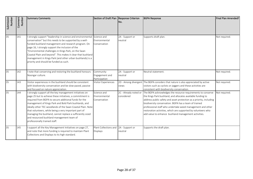| Submission<br>Number | Comment<br>Number | <b>Summary Comments</b>                                                                                                                                                                                                                                                                                                                                                                                                                                                                                     | Section of Draft Plan Response Criterion     | No.                                 | <b>BGPA Response</b>                                                                                                                                                                                                                                                                                                                                                                                                                              | Final Plan Amended? |
|----------------------|-------------------|-------------------------------------------------------------------------------------------------------------------------------------------------------------------------------------------------------------------------------------------------------------------------------------------------------------------------------------------------------------------------------------------------------------------------------------------------------------------------------------------------------------|----------------------------------------------|-------------------------------------|---------------------------------------------------------------------------------------------------------------------------------------------------------------------------------------------------------------------------------------------------------------------------------------------------------------------------------------------------------------------------------------------------------------------------------------------------|---------------------|
| 35                   | 141               | I strongly support "leadership in science and environmental<br>conservation" but this needs to be supported by a well-<br>funded bushland management and research program. On<br>page 16, I strongly support the inclusion of the<br>'Environmental challenges in Kings Park, on the Swan<br>Coastal Plain and beyond". This makes it clear that bushland<br>management in Kings Park (and other urban bushlands) is a<br>priority and should be funded as such.                                            | Science and<br>Environmental<br>Conservation | 2A - Support or<br>neutral          | Supports draft plan.                                                                                                                                                                                                                                                                                                                                                                                                                              | Not required.       |
| 35                   | 142               | I note that conserving and restoring the bushland honours<br>Noongar culture.                                                                                                                                                                                                                                                                                                                                                                                                                               | Community<br>Engagement and<br>Participation | 2A - Support or<br>neutral          | Neutral statement.                                                                                                                                                                                                                                                                                                                                                                                                                                | Not required.       |
| 35                   | 143               | Visitor experiences in the bushland should be consistent<br>with biodiversity conservation and be slow-paced, passive<br>and focused on nature appreciation.                                                                                                                                                                                                                                                                                                                                                | Visitor Experiences                          | views                               | 2D - Among divergent The BGPA considers that nature is also appreciated by active<br>visitors such as cyclists or joggers and these activities are<br>consistent with biodiversity conservation.                                                                                                                                                                                                                                                  | Not required.       |
| 35                   | 144               | I strongly support all the key management initiatives on<br>page 25 but to achieve these initiatives, a commitment is<br>required from BGPA to secure additional funds for the<br>management of Kings Park and Bold Park bushlands, and<br>ideally other TEC woodlands of the Swan Coastal Plain. Note<br>that volunteers, while being a very important part of<br>managing the bushland, cannot replace a sufficiently sized<br>and resourced bushland management team of<br>professionally trained staff. | Science and<br>Environmental<br>Conservation | 2C - Already noted or<br>considered | The BGPA acknowledges the resource requirements to conserve<br>the Kings Park bushland, and allocates available funding to<br>address public safety and asset protection as a priority, including<br>biodiversity conservation. BGPA has a team of trained<br>professional staff who undertake weed management and other<br>restoration activities, which are supported by volunteers who<br>add value to enhance bushland management activities. | Not required.       |
| 35                   | 145               | I support all the Key Management Initiatives on page 27,<br>and note that more funding is required to maintain Plant<br>Collections and Displays to its high standard.                                                                                                                                                                                                                                                                                                                                      | Plant Collections and<br>Displays            | 2A - Support or<br>neutral          | Supports the draft plan.                                                                                                                                                                                                                                                                                                                                                                                                                          |                     |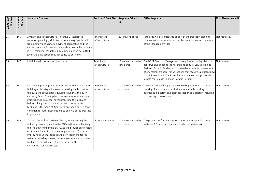| Submission<br>Number | Comment<br>Number | <b>Summary Comments</b>                                                                                                                                                                                                                                                                                                                                                                                                                                                                                        | Section of Draft Plan   Response Criterion | INo.                                | <b>BGPA Response</b>                                                                                                                                                                                                                                                                                                                                                                          | Final Plan Amended? |
|----------------------|-------------------|----------------------------------------------------------------------------------------------------------------------------------------------------------------------------------------------------------------------------------------------------------------------------------------------------------------------------------------------------------------------------------------------------------------------------------------------------------------------------------------------------------------|--------------------------------------------|-------------------------------------|-----------------------------------------------------------------------------------------------------------------------------------------------------------------------------------------------------------------------------------------------------------------------------------------------------------------------------------------------------------------------------------------------|---------------------|
| 35                   | 146               | Amenity and Infrastructure - Initiative 6 (Integrated<br>transport planning); Multiuse paths are very problematic<br>from a safety and visitor enjoyment perspective and the<br>current network for pedestrians and cyclists in the bushland<br>is well balanced. Mountain bikes should not be permitted<br>given the destruction they can cause to bushland.                                                                                                                                                  | Amenity and<br>Infrastructure              | 2B - Beyond scope                   | Path uses will be considered as part of the transport planning<br>process yet to be undertaken but this detail is beyond the scope<br>of the Management Plan.                                                                                                                                                                                                                                 | Not required.       |
| 35                   | 147               | I definitely do not support a cable car.                                                                                                                                                                                                                                                                                                                                                                                                                                                                       | Amenity and<br>Infrastructure              | 2C - Already noted or<br>considered | The BGPA Board of Management is required under legislation to<br>conserve and enhance the natural and cultural values of Kings<br>Park and Botanic Garden, which provides a basis for assessment<br>of any formal proposal for attractions that require significant new<br>built infrastructure. The Board has not received any proposal for<br>a cable car in Kings Park and Botanic Garden. | Not required.       |
| 35                   | 148               | I do not support upgrades to the Kings Park Administration<br>Building at this stage, because reinstating the budget for<br>the bushland is the biggest funding issue that the BGPA<br>currently faces. This applies to any expensive amenity and<br>infrastructure projects - adequately fund the bushland<br>before adding any built developments, because the<br>bushland is the heart of Kings Park, and keeping it in good<br>condition for future generations to enjoy is of the greatest<br>importance. | Amenity and<br>Infrastructure              | 2C - Already noted or<br>considered | The BGPA acknowledges the resource requirements to conserve<br>the Kings Park bushland, and allocates available funding to<br>address public safety and asset protection as a priority, including<br>biodiversity conservation.                                                                                                                                                               | Not required.       |
| 36                   | 149               | Tourism Council WA believes that by implementing the<br>following recommendation the BGPA will more effectively<br>fulfil its duties under the BGPA Act and provide an elevated<br>experience for visitors to the designated land; Focus on<br>Improving Tourism Facilities and Services; more geared<br>towards providing diverse, bookable experiences that are<br>facilitated through market-led proposals without a<br>competitive tender process.                                                         | Visitor Experiences                        | 2C - Already noted or<br>considered | The plan allows for new tourism opportunities including under<br>Initiative 2.3 (Innovative and world-class experiences).                                                                                                                                                                                                                                                                     | Not required.       |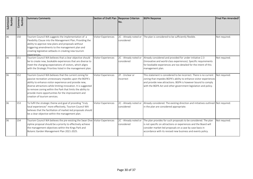| Submission<br>Number | Comment<br><b>Number</b> | Summary Comments                                                                                                                                                                                                                                                                                                                                                                                    | Section of Draft Plan Response Criterion | No.                                 | <b>BGPA Response</b>                                                                                                                                                                                                                                                     | Final Plan Amended? |
|----------------------|--------------------------|-----------------------------------------------------------------------------------------------------------------------------------------------------------------------------------------------------------------------------------------------------------------------------------------------------------------------------------------------------------------------------------------------------|------------------------------------------|-------------------------------------|--------------------------------------------------------------------------------------------------------------------------------------------------------------------------------------------------------------------------------------------------------------------------|---------------------|
| 36                   | 150                      | Tourism Council WA suggests the implementation of a<br>Flexibility Clause into the Management Plan; Providing the<br>ability to approve new plans and proposals without<br>triggering amendments to the management plan and<br>creating legislative setbacks in creating new tourism<br>experiences.                                                                                                | Visitor Experiences                      | 2C - Already noted or<br>considered | The plan is considered to be sufficiently flexible.                                                                                                                                                                                                                      | Not required.       |
| 36                   | 151                      | Tourism Council WA believes that a clear objective should<br>be to create new, bookable experiences that are diverse to<br>meet the changing expectations of visitors, which aligns<br>with the Strategic Priorities listed in the management plan.                                                                                                                                                 | <b>Visitor Experiences</b>               | 2C - Already noted or<br>considered | Already considered and provided for under initiative 2.3<br>(Innovative and world-class experiences). Specific requirements<br>for bookable experiences are too detailed for the intent of this<br>management plan.                                                      | Not required.       |
| 36                   | 152                      | Tourism Council WA believes that the current zoning for<br>passive recreation unnecessary impedes upon the BGPA's<br>ability to enhance visitor experience and provide new,<br>diverse attractions while limiting innovation. It is suggested<br>to remove zoning within the Park that limits the ability to<br>provide more opportunities for the improvement and<br>creation of tourism services. | Visitor Experiences                      | 2F - Unclear or<br>incorrect        | This statement is considered to be incorrect. There is no current<br>zoning that impedes BGPA's ability to enhance visitor experiences<br>and provide new attractions. BGPA is however bound to comply<br>with the BGPA Act and other government legislation and policy. | Not required.       |
| 36                   | 153                      | To fulfil the strategic theme and goal of providing "truly<br>local experiences" more effectively, Tourism Council WA<br>believes that the facilitation of market-led proposals should<br>be a clear objective within the management plan.                                                                                                                                                          | <b>Visitor Experiences</b>               | 2C - Already noted or<br>considered | Already considered. The existing direction and initiatives outlined Not required.<br>in the plan are considered appropriate.                                                                                                                                             |                     |
| 36                   | 154                      | Tourism Council WA believes the pre-existing the Swan Dive Visitor Experiences<br>zipline proposal should be a priority to effectively achieve<br>the management objectives within the Kings Park and<br>Botanic Garden Management Plan 2021-2025.                                                                                                                                                  |                                          | 2C - Already noted or<br>considered | The plan provides for such proposals to be considered. The plan<br>is not specific on attractions or experiences and the Board will<br>consider market-led proposals on a case by case basis in<br>accordance with its revised new business and events policy.           | Not required.       |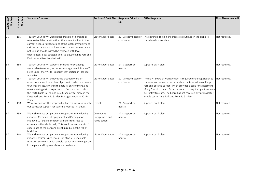| Submission<br>Number | Comment<br>Number | <b>Summary Comments</b>                                                                                                                                                                                                                                                                                                                                                                                  | Section of Draft Plan Response Criterion     | No.                                 | <b>BGPA Response</b>                                                                                                                                                                                                                                                                                                                                                                          | Final Plan Amended? |
|----------------------|-------------------|----------------------------------------------------------------------------------------------------------------------------------------------------------------------------------------------------------------------------------------------------------------------------------------------------------------------------------------------------------------------------------------------------------|----------------------------------------------|-------------------------------------|-----------------------------------------------------------------------------------------------------------------------------------------------------------------------------------------------------------------------------------------------------------------------------------------------------------------------------------------------------------------------------------------------|---------------------|
| 36                   | 155               | Tourism Council WA would support a plan to change or<br>remove facilities or attractions that are not suited to the<br>current needs or expectations of the local community and<br>visitors. Attractions that have low community value or are<br>not unique should instead be replaced with local<br>experiences; a key strategic goal, to elevate Kings Park and<br>Perth as an attractive destination. | Visitor Experiences                          | 2C - Already noted or<br>considered | The existing direction and initiatives outlined in the plan are<br>considered appropriate.                                                                                                                                                                                                                                                                                                    | Not required.       |
| 36                   | 156               | Tourism Council WA supports the idea for providing<br>sustainable transport, as per key management initiative 7<br>listed under the "Visitor Experiences" section in Planned<br>Activities.                                                                                                                                                                                                              | Visitor Experiences                          | 2A - Support or<br>neutral          | Supports draft plan.                                                                                                                                                                                                                                                                                                                                                                          | Not required.       |
| 36                   | 157               | Tourism Council WA believes the creation of major<br>attractions should be a clear objective in order to promote<br>tourism services, enhance the natural environment, and<br>meet evolving visitor expectations. An attraction such as<br>the Perth Cable Car should be a fundamental piece in the<br>Kings Park and Botanic Garden Management Plan 2021-<br>2025                                       | Visitor Experiences                          | 2C - Already noted or<br>considered | The BGPA Board of Management is required under legislation to<br>conserve and enhance the natural and cultural values of Kings<br>Park and Botanic Garden, which provides a basis for assessment<br>of any formal proposal for attractions that require significant new<br>built infrastructure. The Board has not received any proposal for<br>a cable car in Kings Park and Botanic Garden. | Not required.       |
| 37                   | 158               | While we support the proposed initiatives, we wish to note<br>our particular support for several proposed initiatives.                                                                                                                                                                                                                                                                                   | Overall                                      | 2A - Support or<br>neutral          | Supports draft plan.                                                                                                                                                                                                                                                                                                                                                                          | Not required.       |
| 37                   | 159               | We wish to note our particular support for the following<br>initiative; Community Engagement and Participation -<br>Initiative 10 (expand the park's smoke-free areas to<br>encompass the whole park). This would enhance visitors'<br>experience of the park and assist in reducing the risk of<br>bushfires.                                                                                           | Community<br>Engagement and<br>Participation | 2A - Support or<br>neutral          | Supports draft plan.                                                                                                                                                                                                                                                                                                                                                                          | Not required.       |
| 37                   | 160               | We wish to note our particular support for the following<br>initiative; Visitor Experiences - Initiative 7 (Sustainable<br>transport services), which should reduce vehicle congestion<br>in the park and improve visitors' experience.                                                                                                                                                                  | Visitor Experiences                          | 2A - Support or<br>neutral          | Supports draft plan.                                                                                                                                                                                                                                                                                                                                                                          | Not required.       |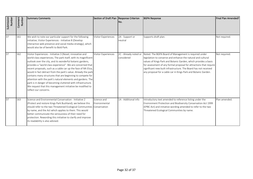| Submission<br>Number | Comment<br>Number | <b>Summary Comments</b>                                                                                                                                                                                                                                                                                                                                                                                                                                                                                                                                                                                                                                                      | Section of Draft Plan Response Criterion | INo.                                | <b>BGPA Response</b>                                                                                                                                                                                                                                                                                                                                                                                 | Final Plan Amended? |
|----------------------|-------------------|------------------------------------------------------------------------------------------------------------------------------------------------------------------------------------------------------------------------------------------------------------------------------------------------------------------------------------------------------------------------------------------------------------------------------------------------------------------------------------------------------------------------------------------------------------------------------------------------------------------------------------------------------------------------------|------------------------------------------|-------------------------------------|------------------------------------------------------------------------------------------------------------------------------------------------------------------------------------------------------------------------------------------------------------------------------------------------------------------------------------------------------------------------------------------------------|---------------------|
| 37                   | 161               | We wish to note our particular support for the following<br>initiative; Visitor Experiences - Initiative 8 (Develop<br>interactive web presence and social media strategy), which<br>would also be of benefit to Bold Park.                                                                                                                                                                                                                                                                                                                                                                                                                                                  | Visitor Experiences                      | 2A - Support or<br>neutral          | Supports draft plan.                                                                                                                                                                                                                                                                                                                                                                                 | Not required.       |
| 37                   | 162               | Visitor Experiences - Initiative 3 (Novel, innovative and<br>world-class experiences; The park itself, with its magnificent<br>outlook over the city, and its wonderful botanic gardens,<br>provides a "world class experience". We are concerned that<br>recent proposals, such as a cable car up the face of Mt Eliza,<br>would in fact detract from the park's value. Already the park<br>contains many structures that are beginning to compete for<br>attention with the park's natural elements and gardens. The<br>park is in danger of becoming cluttered with infrastructure.<br>We request that this management initiative be modified to<br>reflect our concerns. | <b>Visitor Experiences</b>               | 2C - Already noted or<br>considered | Noted. The BGPA Board of Management is required under<br>legislation to conserve and enhance the natural and cultural<br>values of Kings Park and Botanic Garden, which provides a basis<br>for assessment of any formal proposal for attractions that require<br>significant new built infrastructure. The Board has not received<br>any proposal for a cable car in Kings Park and Botanic Garden. | Not required.       |
| 37                   | 163               | Science and Environmental Conservation - Initiative 2<br>(Protect and restore Kings Park Bushland); we believe this<br>should refer to the two Threatened Ecological Communities Conservation<br>by name, and the Act which applies to them. This would<br>better communicate the seriousness of their need for<br>protection. Rewording this initiative to clarify and improve<br>its readability is also advised.                                                                                                                                                                                                                                                          | Science and<br>Environmental             | 1A - Additional info                | Introductory text amended to reference listing under the<br>Environment Protection and Biodiversity Conservation Act 1999<br>(EPBC Act) and initiative wording amended to refer to the two<br>Threatened Ecological Communities by name.                                                                                                                                                             | Plan amended.       |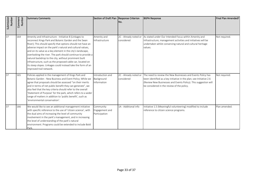| Submission<br>Number       | Comment<br>Number | <b>Summary Comments</b>                                                                                                                                                                                                                                                                                                                                                                                                                                                                                                                                                                    | Section of Draft Plan Response Criterion      | INo.                                | <b>BGPA Response</b>                                                                                                                                                                                                                                | Final Plan Amended? |
|----------------------------|-------------------|--------------------------------------------------------------------------------------------------------------------------------------------------------------------------------------------------------------------------------------------------------------------------------------------------------------------------------------------------------------------------------------------------------------------------------------------------------------------------------------------------------------------------------------------------------------------------------------------|-----------------------------------------------|-------------------------------------|-----------------------------------------------------------------------------------------------------------------------------------------------------------------------------------------------------------------------------------------------------|---------------------|
| 37                         | 164               | Amenity and Infrastructure - Initiative 8 (Linkages to<br>reconnect Kings Park and Botanic Garden and the Swan<br>River); This should specify that options should not have an<br>adverse impact on the park's natural and cultural values,<br>and on its value as a key element in the city's landscape,<br>overlooking the river. The park should continue to provide a<br>natural backdrop to the city, without prominent built<br>infrastructure, such as the proposed cable car, located on<br>its steep slopes. Linkages could instead take the form of an<br>improved trail network. | Amenity and<br>Infrastructure                 | 2C - Already noted or<br>considered | As stated under Our Intended Focus within Amenity and<br>Infrastructure, management activities and initiatives will be<br>undertaken whilst conserving natural and cultural heritage<br>values.                                                     | Not required.       |
| 37                         | 165               | Policies applied in the management of Kings Park and<br>Botanic Garden - New Business and Event Policy; While we<br>agree that proposals should be assessed "on their merits<br>and in terms of net public benefit they can generate", we<br>also feel that the key criteria should refer to the overall<br>'Statement of Purpose' for the park, which refers to a wider<br>range of matters in addition to 'public benefit', such as<br>'environmental conservation'.                                                                                                                     | Introduction and<br>Background<br>Information | 2C - Already noted or<br>considered | The need to review the New Businesses and Events Policy has<br>been identified as a key initiative in the plan; see Initiative 2.6<br>(Review New Businesses and Events Policy). This suggestion will<br>be considered in the review of the policy. | Not required.       |
| $\overline{\overline{37}}$ | 166               | We would like to see an additional management initiative<br>with specific reference to the use of 'citizen science', with<br>the dual aims of increasing the level of community<br>involvement in the park's management, and in increasing<br>the level of understanding of the park's natural<br>environment. Programs could be extended to include Bold<br>Park.                                                                                                                                                                                                                         | Community<br>Engagement and<br>Participation  | 1A - Additional info                | Initiative 1.5 (Meaningful volunteering) modified to include<br>reference to citizen science programs.                                                                                                                                              | Plan amended.       |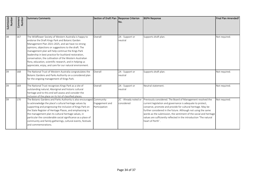| Submission<br><b>Number</b> | Comment<br>Number | <b>Summary Comments</b>                                                                                                                                                                                                                                                                                                                                                                                                                                                                                                  | Section of Draft Plan Response Criterion     | No.                                 | <b>BGPA Response</b>                                                                                                                                                                                                                                                                                                                                                                                                     | Final Plan Amended? |
|-----------------------------|-------------------|--------------------------------------------------------------------------------------------------------------------------------------------------------------------------------------------------------------------------------------------------------------------------------------------------------------------------------------------------------------------------------------------------------------------------------------------------------------------------------------------------------------------------|----------------------------------------------|-------------------------------------|--------------------------------------------------------------------------------------------------------------------------------------------------------------------------------------------------------------------------------------------------------------------------------------------------------------------------------------------------------------------------------------------------------------------------|---------------------|
| 38                          | 167               | The Wildflower Society of Western Australia is happy to<br>endorse the Draft Kings Park and Botanic Garden<br>Management Plan 2021-2025, and we have no strong<br>opinions, objections or suggestions to the draft. The<br>management plan will help continue the Kings Park<br>leadership in best practice for bushland restoration,<br>conservation, the cultivation of the Western Australian<br>flora, education, scientific research, and in helping us<br>appreciate, enjoy, and care for our natural environment. | Overall                                      | 2A - Support or<br>neutral          | Supports draft plan.                                                                                                                                                                                                                                                                                                                                                                                                     | Not required.       |
| 39                          | 168               | The National Trust of Western Australia congratulates the<br>Botanic Gardens and Parks Authority on a considered plan<br>for the ongoing management of Kings Park.                                                                                                                                                                                                                                                                                                                                                       | Overall                                      | 2A - Support or<br>neutral          | Supports draft plan.                                                                                                                                                                                                                                                                                                                                                                                                     | Not required.       |
| 39                          | 169               | The National Trust recognises Kings Park as a site of<br>outstanding natural, Aboriginal and historic cultural<br>heritage and to this end will assess and consider the<br>inclusion of the place on its list of classified places.                                                                                                                                                                                                                                                                                      | Overall                                      | 2A - Support or<br>neutral          | Neutral statement.                                                                                                                                                                                                                                                                                                                                                                                                       | Not required.       |
| 39                          | 170               | The Botanic Gardens and Parks Authority is also encouraged<br>to acknowledge the place's cultural heritage values by<br>supporting and progressing the inclusion of Kings Park on<br>the State Register of Heritage Places, and emphasising in<br>the management plan its cultural heritage values, in<br>particular the considerable social significance as a place of<br>community and family gatherings, cultural events, festivals<br>and commemorations.                                                            | Community<br>Engagement and<br>Participation | 2C - Already noted or<br>considered | Previously considered. The Board of Management resolved the<br>current legislation and governance is adequate to protect,<br>conserve, promote and provide for cultural heritage. May be<br>further considered in the future. Although not using the same<br>words as the submission, the sentiment of the social and heritage<br>values are sufficiently reflected in the introduction 'The natural<br>heart of Perth'. | Not required.       |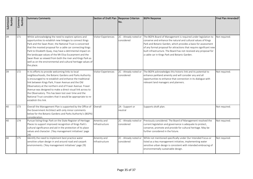| Submission<br>Number | Comment<br>Number | <b>Summary Comments</b>                                                                                                                                                                                                                                                                                                                                                                                                                                                                                      | Section of Draft Plan Response Criterion | No.                                 | <b>BGPA Response</b>                                                                                                                                                                                                                                                                                                                                                                          | Final Plan Amended? |
|----------------------|-------------------|--------------------------------------------------------------------------------------------------------------------------------------------------------------------------------------------------------------------------------------------------------------------------------------------------------------------------------------------------------------------------------------------------------------------------------------------------------------------------------------------------------------|------------------------------------------|-------------------------------------|-----------------------------------------------------------------------------------------------------------------------------------------------------------------------------------------------------------------------------------------------------------------------------------------------------------------------------------------------------------------------------------------------|---------------------|
| 39                   | 171               | Whilst acknowledging the need to explore options and<br>opportunities to establish new linkages to connect Kings<br>Park and the Swan River, the National Trust is concerned<br>that the mooted proposal for a cable car connecting Kings<br>Park to Elizabeth Quay, may have a detrimental impact on<br>the landscape values of the Mt Eliza Escarpment and the<br>Swan River as viewed from both the river and Kings Park as<br>well as on the environmental and cultural heritage values of<br>the place. | Visitor Experiences                      | 2C - Already noted or<br>considered | The BGPA Board of Management is required under legislation to<br>conserve and enhance the natural and cultural values of Kings<br>Park and Botanic Garden, which provides a basis for assessment<br>of any formal proposal for attractions that require significant new<br>built infrastructure. The Board has not received any proposal for<br>a cable car in Kings Park and Botanic Garden. | Not required.       |
| 39                   | 172               | In its efforts to provide welcoming links to local<br>neighbourhoods, the Botanic Gardens and Parks Authority<br>is encouraged to re-establish and enhance the traditional<br>link between Kings Park, Fraser Avenue and the Old<br>Observatory at the northern end of Fraser Avenue. Fraser<br>Avenue was designed to make a direct visual link across to<br>the Observatory. This has been lost over time and the<br>National Trust considers that it would be appropriate to re-<br>establish this link.  | <b>Visitor Experiences</b>               | 2C - Already noted or<br>considered | The BGPA acknowledges this historic link and its potential to<br>enhance parkland amenity and will consider any and all<br>opportunities to enhance that connection in its dialogue with<br>relevant land managers and planners.                                                                                                                                                              | Not required.       |
| 40                   | 173               | Overall the Management Plan is supported by the Office of<br>the Government Architect with only minor comments<br>below for the Botanic Gardens and Parks Authority's (BGPA)<br>consideration.                                                                                                                                                                                                                                                                                                               | Overall                                  | 2A - Support or<br>neutral          | Supports draft plan.                                                                                                                                                                                                                                                                                                                                                                          | Not required.       |
| 40                   | 174               | Pursue listing Kings Park on the State Register of Heritage<br>Places to support improved recognition of Kings Park's<br>cultural significance and aid in the protection of its place<br>values and character. ('Key management initiatives' page<br>79)                                                                                                                                                                                                                                                     | Amenity and<br>Infrastructure            | 2C - Already noted or<br>considered | Previously considered. The Board of Management resolved the<br>current legislation and governance is adequate to protect,<br>conserve, promote and provide for cultural heritage. May be<br>further considered in the future.                                                                                                                                                                 | Not required.       |
| 40                   | 175               | Identify the need to implement best practice water<br>sensitive urban design in and around road and carpark<br>environments. ('Key management initiatives' page 29)                                                                                                                                                                                                                                                                                                                                          | Amenity and<br>Infrastructure            | 2C - Already noted or<br>considered | While not mentioned specifically under Our Intended Focus or<br>listed as a key management initiative, implementing water<br>sensitive urban design is consistent with intended embracing of<br>environmentally sustainable design.                                                                                                                                                           | Not required.       |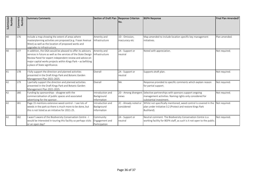| Submission<br>Number | Comment<br>Number | <b>Summary Comments</b>                                                                                                                                                                                                                                                                      | Section of Draft Plan Response Criterion      | INo.                                | <b>BGPA Response</b>                                                                                                                                             | Final Plan Amended? |
|----------------------|-------------------|----------------------------------------------------------------------------------------------------------------------------------------------------------------------------------------------------------------------------------------------------------------------------------------------|-----------------------------------------------|-------------------------------------|------------------------------------------------------------------------------------------------------------------------------------------------------------------|---------------------|
| 40                   | 176               | Include a map showing the extent of areas where<br>masterplanning activities are proposed (e.g. Fraser Avenue<br>West) as well as the location of proposed works and<br>upgrades to infrastructure.                                                                                          | Amenity and<br>Infrastructure                 | 1D - Omission,<br>inaccuracy etc    | Map amended to include location specific key management<br>initiatives.                                                                                          | Plan amended.       |
| 40                   | 177               | In addition, the OGA would be pleased to offer its advisory<br>services in future as well as the services of the State Design<br>Review Panel for expert independent review and advice on<br>major capital works projects within Kings Park - as befitting<br>a place of State significance. | Amenity and<br><b>Infrastructure</b>          | 2A - Support or<br>neutral          | Noted with appreciation.                                                                                                                                         | Not required.       |
| 41                   | 178               | I fully support the direction and planned activities<br>presented in the Draft Kings Park and Botanic Garden<br>Management Plan 2021-2025.                                                                                                                                                   | Overall                                       | 2A - Support or<br>neutral          | Supports draft plan.                                                                                                                                             | Not required.       |
| 42                   | 179               | I partially support the direction and planned activities<br>presented in the Draft Kings Park and Botanic Garden<br>Management Plan 2021-2025.                                                                                                                                               | Overall                                       | <b>NA</b>                           | Response provided to specific comments which explain reason<br>for partial support.                                                                              | Not required.       |
| 42                   | 180               | Funding by sponsorships - disagree with the<br>commercialisation of public spaces and associated<br>advertising for the sponsor.                                                                                                                                                             | Introduction and<br>Background<br>Information | views                               | 2D - Among divergent Selective partnerships with sponsors support ongoing<br>management activities. Naming rights only considered for<br>substantial investment. | Not required.       |
| 42                   | 181               | Page 15 mentions extensive weed control - I see lots of<br>weeds in the park so there is much more to be done, but<br>this is not listed as an initiative for 2021-25.                                                                                                                       | Introduction and<br>Background<br>Information | 2C - Already noted or<br>considered | Whilst not specifically mentioned, weed control is covered in the<br>plan under Initiative 3.2 (Protect and restore Kings Park<br>Bushland).                     | Not required.       |
| 42                   | 182               | I wasn't aware of the Biodiversity Conservation Centre - I<br>would be interested in touring this facility so perhaps visits<br>or an open day?                                                                                                                                              | Community<br>Engagement and<br>Participation  | 2A - Support or<br>neutral          | Neutral comment. The Biodiversity Conservation Centre is a<br>working facility for BGPA staff, as such is it not open to the public.                             | Not required.       |